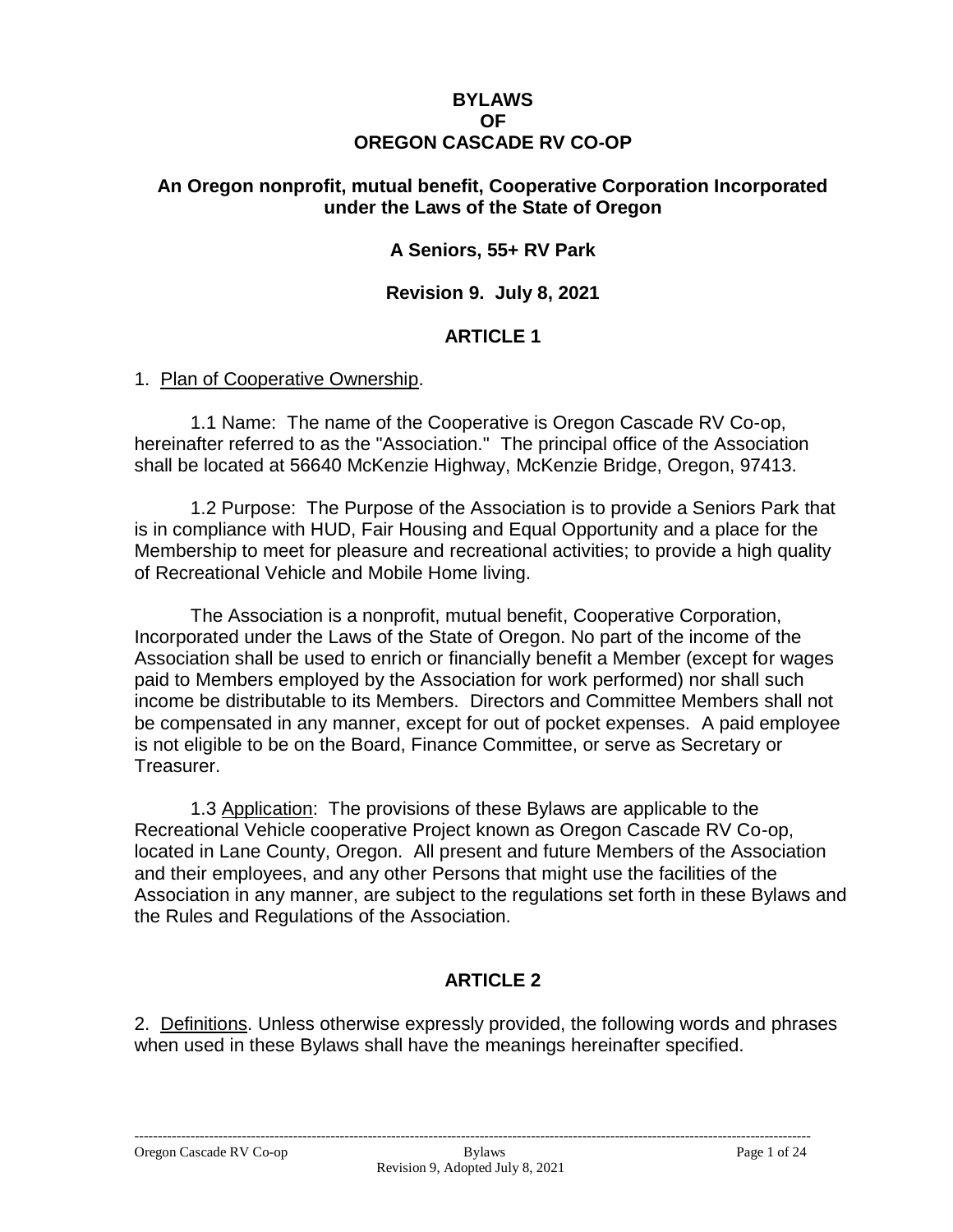#### **BYLAWS OF OREGON CASCADE RV CO-OP**

#### **An Oregon nonprofit, mutual benefit, Cooperative Corporation Incorporated under the Laws of the State of Oregon**

### **A Seniors, 55+ RV Park**

#### **Revision 9. July 8, 2021**

#### **ARTICLE 1**

#### 1. Plan of Cooperative Ownership.

1.1 Name: The name of the Cooperative is Oregon Cascade RV Co-op, hereinafter referred to as the "Association." The principal office of the Association shall be located at 56640 McKenzie Highway, McKenzie Bridge, Oregon, 97413.

1.2 Purpose: The Purpose of the Association is to provide a Seniors Park that is in compliance with HUD, Fair Housing and Equal Opportunity and a place for the Membership to meet for pleasure and recreational activities; to provide a high quality of Recreational Vehicle and Mobile Home living.

The Association is a nonprofit, mutual benefit, Cooperative Corporation, Incorporated under the Laws of the State of Oregon. No part of the income of the Association shall be used to enrich or financially benefit a Member (except for wages paid to Members employed by the Association for work performed) nor shall such income be distributable to its Members. Directors and Committee Members shall not be compensated in any manner, except for out of pocket expenses. A paid employee is not eligible to be on the Board, Finance Committee, or serve as Secretary or Treasurer.

1.3 Application: The provisions of these Bylaws are applicable to the Recreational Vehicle cooperative Project known as Oregon Cascade RV Co-op, located in Lane County, Oregon. All present and future Members of the Association and their employees, and any other Persons that might use the facilities of the Association in any manner, are subject to the regulations set forth in these Bylaws and the Rules and Regulations of the Association.

### **ARTICLE 2**

2. Definitions. Unless otherwise expressly provided, the following words and phrases when used in these Bylaws shall have the meanings hereinafter specified.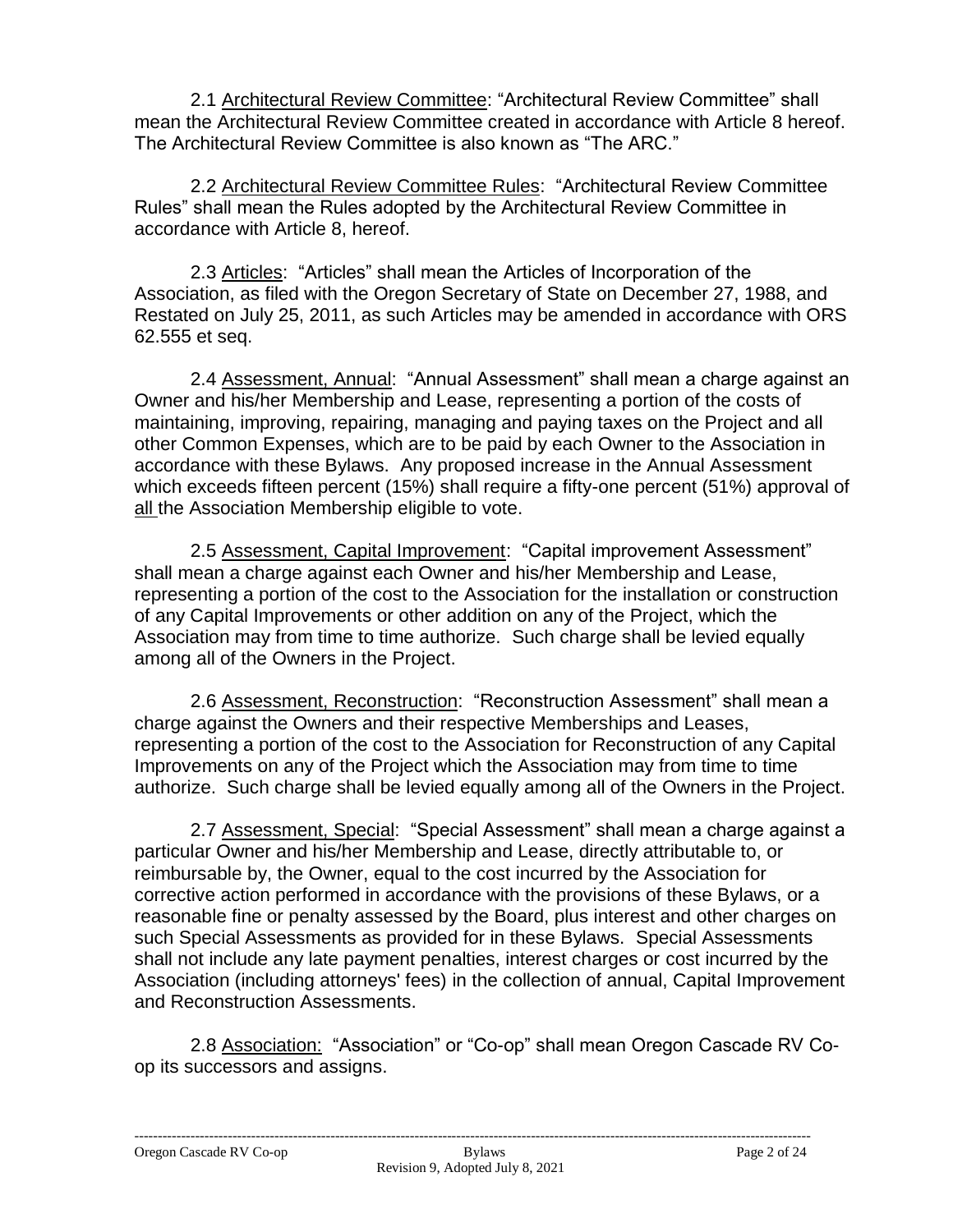2.1 Architectural Review Committee: "Architectural Review Committee" shall mean the Architectural Review Committee created in accordance with Article 8 hereof. The Architectural Review Committee is also known as "The ARC."

2.2 Architectural Review Committee Rules: "Architectural Review Committee Rules" shall mean the Rules adopted by the Architectural Review Committee in accordance with Article 8, hereof.

2.3 Articles: "Articles" shall mean the Articles of Incorporation of the Association, as filed with the Oregon Secretary of State on December 27, 1988, and Restated on July 25, 2011, as such Articles may be amended in accordance with ORS 62.555 et seq.

2.4 Assessment, Annual: "Annual Assessment" shall mean a charge against an Owner and his/her Membership and Lease, representing a portion of the costs of maintaining, improving, repairing, managing and paying taxes on the Project and all other Common Expenses, which are to be paid by each Owner to the Association in accordance with these Bylaws. Any proposed increase in the Annual Assessment which exceeds fifteen percent (15%) shall require a fifty-one percent (51%) approval of all the Association Membership eligible to vote.

2.5 Assessment, Capital Improvement: "Capital improvement Assessment" shall mean a charge against each Owner and his/her Membership and Lease, representing a portion of the cost to the Association for the installation or construction of any Capital Improvements or other addition on any of the Project, which the Association may from time to time authorize. Such charge shall be levied equally among all of the Owners in the Project.

2.6 Assessment, Reconstruction: "Reconstruction Assessment" shall mean a charge against the Owners and their respective Memberships and Leases, representing a portion of the cost to the Association for Reconstruction of any Capital Improvements on any of the Project which the Association may from time to time authorize. Such charge shall be levied equally among all of the Owners in the Project.

2.7 Assessment, Special: "Special Assessment" shall mean a charge against a particular Owner and his/her Membership and Lease, directly attributable to, or reimbursable by, the Owner, equal to the cost incurred by the Association for corrective action performed in accordance with the provisions of these Bylaws, or a reasonable fine or penalty assessed by the Board, plus interest and other charges on such Special Assessments as provided for in these Bylaws. Special Assessments shall not include any late payment penalties, interest charges or cost incurred by the Association (including attorneys' fees) in the collection of annual, Capital Improvement and Reconstruction Assessments.

2.8 Association: "Association" or "Co-op" shall mean Oregon Cascade RV Coop its successors and assigns.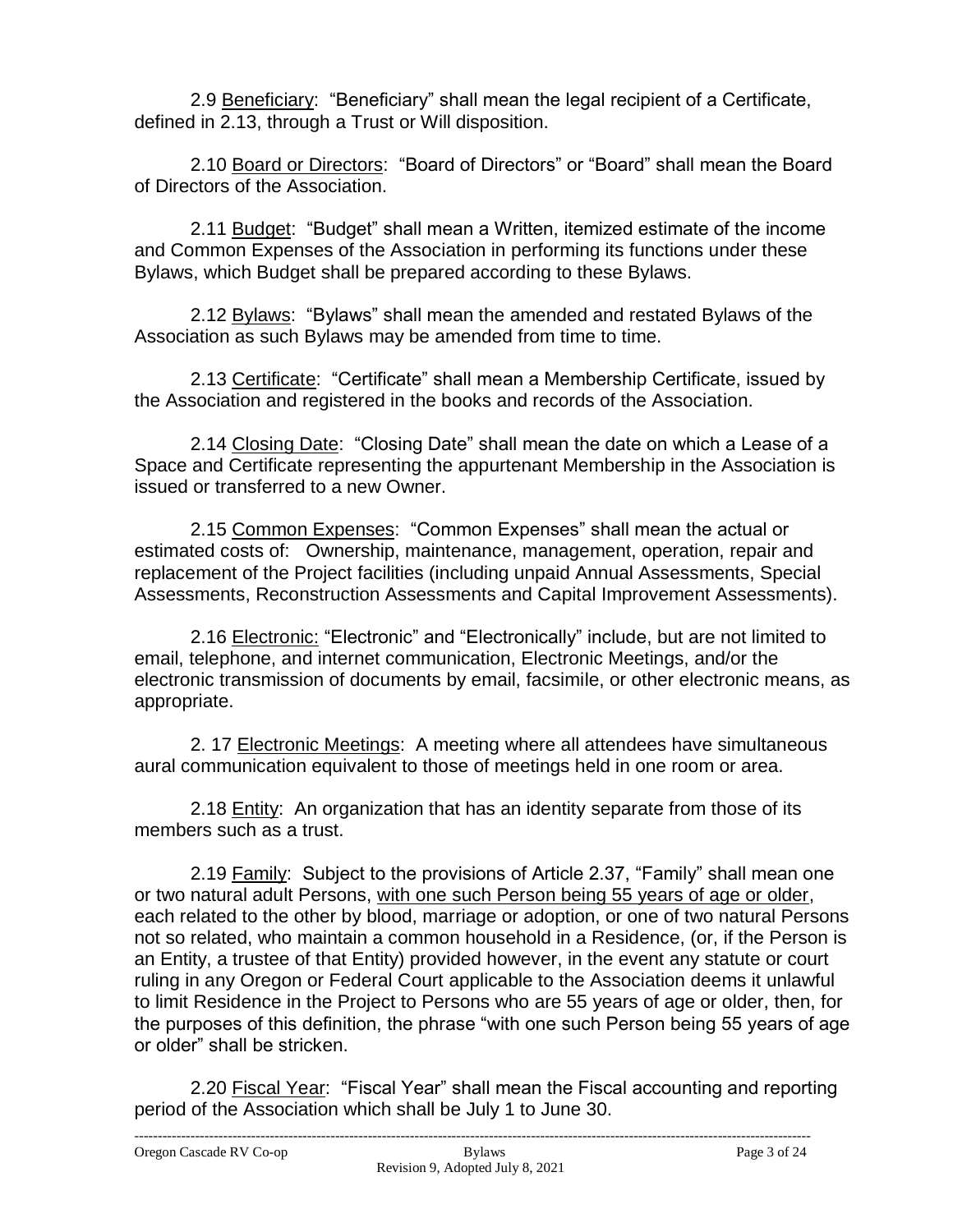2.9 Beneficiary: "Beneficiary" shall mean the legal recipient of a Certificate, defined in 2.13, through a Trust or Will disposition.

2.10 Board or Directors: "Board of Directors" or "Board" shall mean the Board of Directors of the Association.

2.11 Budget: "Budget" shall mean a Written, itemized estimate of the income and Common Expenses of the Association in performing its functions under these Bylaws, which Budget shall be prepared according to these Bylaws.

2.12 Bylaws: "Bylaws" shall mean the amended and restated Bylaws of the Association as such Bylaws may be amended from time to time.

2.13 Certificate: "Certificate" shall mean a Membership Certificate, issued by the Association and registered in the books and records of the Association.

2.14 Closing Date: "Closing Date" shall mean the date on which a Lease of a Space and Certificate representing the appurtenant Membership in the Association is issued or transferred to a new Owner.

2.15 Common Expenses: "Common Expenses" shall mean the actual or estimated costs of: Ownership, maintenance, management, operation, repair and replacement of the Project facilities (including unpaid Annual Assessments, Special Assessments, Reconstruction Assessments and Capital Improvement Assessments).

2.16 Electronic: "Electronic" and "Electronically" include, but are not limited to email, telephone, and internet communication, Electronic Meetings, and/or the electronic transmission of documents by email, facsimile, or other electronic means, as appropriate.

2. 17 Electronic Meetings: A meeting where all attendees have simultaneous aural communication equivalent to those of meetings held in one room or area.

2.18 Entity: An organization that has an identity separate from those of its members such as a trust.

2.19 Family: Subject to the provisions of Article 2.37, "Family" shall mean one or two natural adult Persons, with one such Person being 55 years of age or older, each related to the other by blood, marriage or adoption, or one of two natural Persons not so related, who maintain a common household in a Residence, (or, if the Person is an Entity, a trustee of that Entity) provided however, in the event any statute or court ruling in any Oregon or Federal Court applicable to the Association deems it unlawful to limit Residence in the Project to Persons who are 55 years of age or older, then, for the purposes of this definition, the phrase "with one such Person being 55 years of age or older" shall be stricken.

2.20 Fiscal Year: "Fiscal Year" shall mean the Fiscal accounting and reporting period of the Association which shall be July 1 to June 30.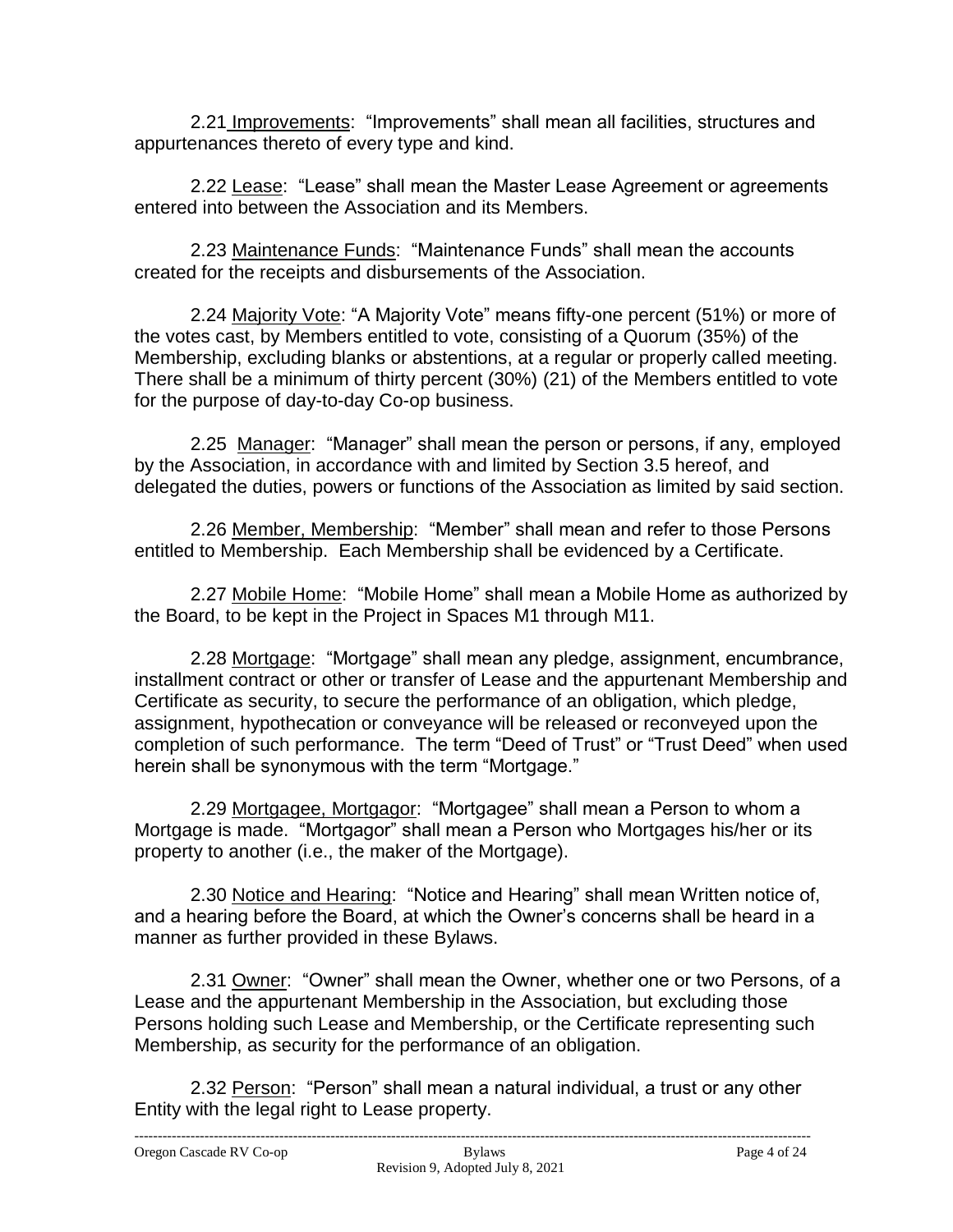2.21 Improvements: "Improvements" shall mean all facilities, structures and appurtenances thereto of every type and kind.

2.22 Lease: "Lease" shall mean the Master Lease Agreement or agreements entered into between the Association and its Members.

2.23 Maintenance Funds: "Maintenance Funds" shall mean the accounts created for the receipts and disbursements of the Association.

2.24 Majority Vote: "A Majority Vote" means fifty-one percent (51%) or more of the votes cast, by Members entitled to vote, consisting of a Quorum (35%) of the Membership, excluding blanks or abstentions, at a regular or properly called meeting. There shall be a minimum of thirty percent (30%) (21) of the Members entitled to vote for the purpose of day-to-day Co-op business.

2.25 Manager: "Manager" shall mean the person or persons, if any, employed by the Association, in accordance with and limited by Section 3.5 hereof, and delegated the duties, powers or functions of the Association as limited by said section.

2.26 Member, Membership: "Member" shall mean and refer to those Persons entitled to Membership. Each Membership shall be evidenced by a Certificate.

2.27 Mobile Home: "Mobile Home" shall mean a Mobile Home as authorized by the Board, to be kept in the Project in Spaces M1 through M11.

2.28 Mortgage: "Mortgage" shall mean any pledge, assignment, encumbrance, installment contract or other or transfer of Lease and the appurtenant Membership and Certificate as security, to secure the performance of an obligation, which pledge, assignment, hypothecation or conveyance will be released or reconveyed upon the completion of such performance. The term "Deed of Trust" or "Trust Deed" when used herein shall be synonymous with the term "Mortgage."

2.29 Mortgagee, Mortgagor: "Mortgagee" shall mean a Person to whom a Mortgage is made. "Mortgagor" shall mean a Person who Mortgages his/her or its property to another (i.e., the maker of the Mortgage).

2.30 Notice and Hearing: "Notice and Hearing" shall mean Written notice of, and a hearing before the Board, at which the Owner's concerns shall be heard in a manner as further provided in these Bylaws.

2.31 Owner: "Owner" shall mean the Owner, whether one or two Persons, of a Lease and the appurtenant Membership in the Association, but excluding those Persons holding such Lease and Membership, or the Certificate representing such Membership, as security for the performance of an obligation.

2.32 Person: "Person" shall mean a natural individual, a trust or any other Entity with the legal right to Lease property.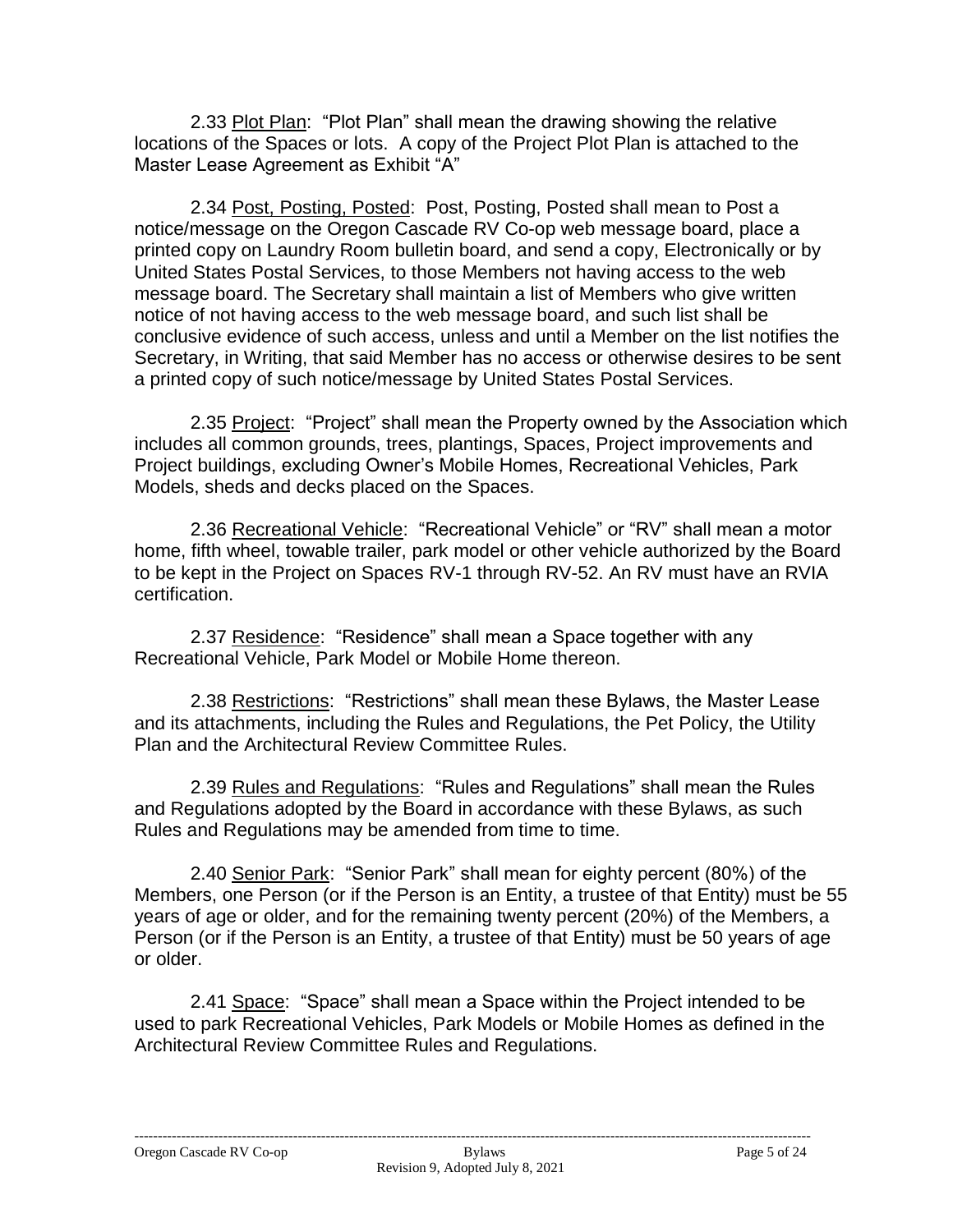2.33 Plot Plan: "Plot Plan" shall mean the drawing showing the relative locations of the Spaces or lots. A copy of the Project Plot Plan is attached to the Master Lease Agreement as Exhibit "A"

2.34 Post, Posting, Posted: Post, Posting, Posted shall mean to Post a notice/message on the Oregon Cascade RV Co-op web message board, place a printed copy on Laundry Room bulletin board, and send a copy, Electronically or by United States Postal Services, to those Members not having access to the web message board. The Secretary shall maintain a list of Members who give written notice of not having access to the web message board, and such list shall be conclusive evidence of such access, unless and until a Member on the list notifies the Secretary, in Writing, that said Member has no access or otherwise desires to be sent a printed copy of such notice/message by United States Postal Services.

2.35 Project: "Project" shall mean the Property owned by the Association which includes all common grounds, trees, plantings, Spaces, Project improvements and Project buildings, excluding Owner's Mobile Homes, Recreational Vehicles, Park Models, sheds and decks placed on the Spaces.

2.36 Recreational Vehicle: "Recreational Vehicle" or "RV" shall mean a motor home, fifth wheel, towable trailer, park model or other vehicle authorized by the Board to be kept in the Project on Spaces RV-1 through RV-52. An RV must have an RVIA certification.

2.37 Residence: "Residence" shall mean a Space together with any Recreational Vehicle, Park Model or Mobile Home thereon.

2.38 Restrictions: "Restrictions" shall mean these Bylaws, the Master Lease and its attachments, including the Rules and Regulations, the Pet Policy, the Utility Plan and the Architectural Review Committee Rules.

2.39 Rules and Regulations: "Rules and Regulations" shall mean the Rules and Regulations adopted by the Board in accordance with these Bylaws, as such Rules and Regulations may be amended from time to time.

2.40 Senior Park: "Senior Park" shall mean for eighty percent (80%) of the Members, one Person (or if the Person is an Entity, a trustee of that Entity) must be 55 years of age or older, and for the remaining twenty percent (20%) of the Members, a Person (or if the Person is an Entity, a trustee of that Entity) must be 50 years of age or older.

2.41 Space: "Space" shall mean a Space within the Project intended to be used to park Recreational Vehicles, Park Models or Mobile Homes as defined in the Architectural Review Committee Rules and Regulations.

-------------------------------------------------------------------------------------------------------------------------------------------------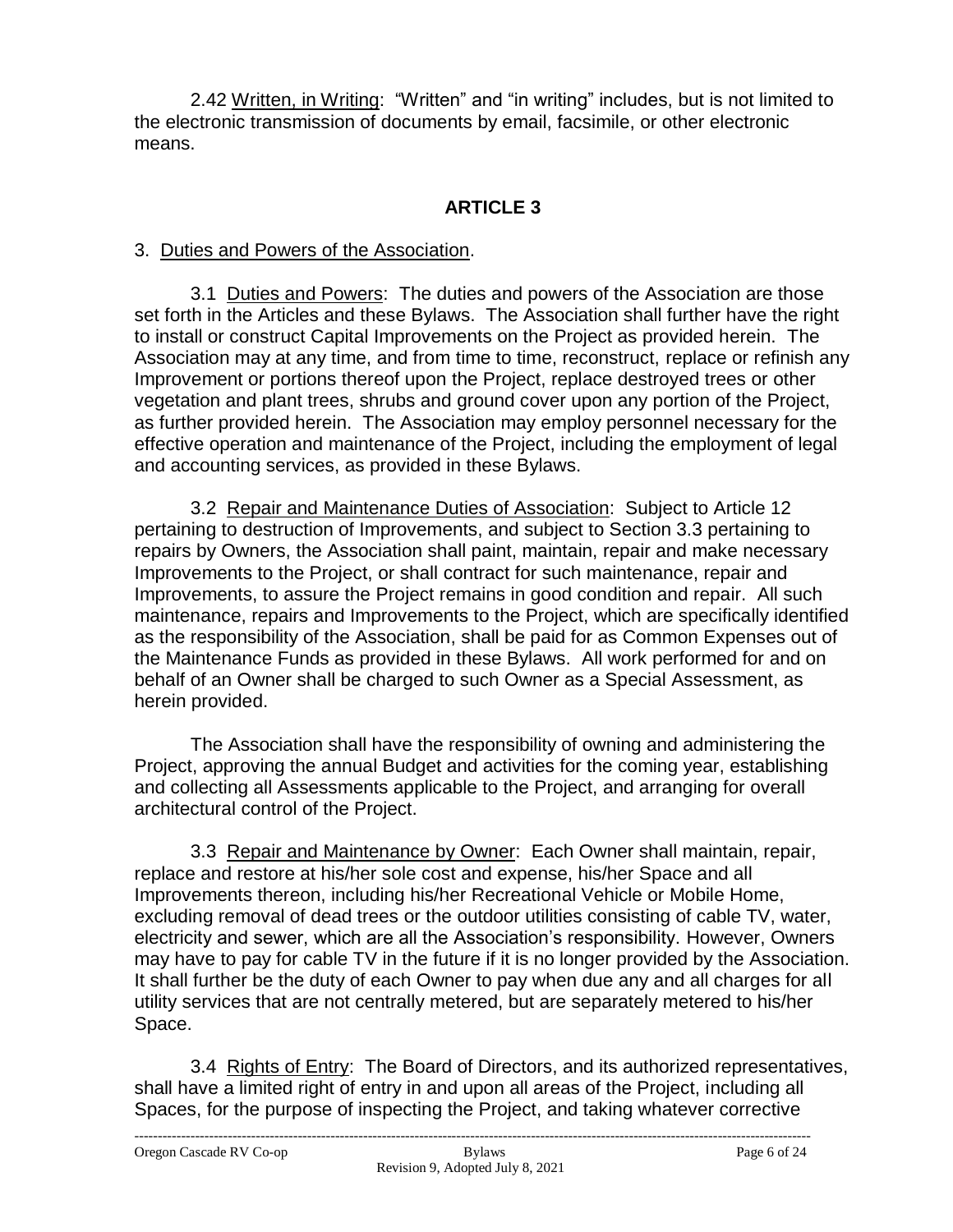2.42 Written, in Writing: "Written" and "in writing" includes, but is not limited to the electronic transmission of documents by email, facsimile, or other electronic means.

# **ARTICLE 3**

### 3. Duties and Powers of the Association.

3.1 Duties and Powers: The duties and powers of the Association are those set forth in the Articles and these Bylaws. The Association shall further have the right to install or construct Capital Improvements on the Project as provided herein. The Association may at any time, and from time to time, reconstruct, replace or refinish any Improvement or portions thereof upon the Project, replace destroyed trees or other vegetation and plant trees, shrubs and ground cover upon any portion of the Project, as further provided herein. The Association may employ personnel necessary for the effective operation and maintenance of the Project, including the employment of legal and accounting services, as provided in these Bylaws.

3.2 Repair and Maintenance Duties of Association: Subject to Article 12 pertaining to destruction of Improvements, and subject to Section 3.3 pertaining to repairs by Owners, the Association shall paint, maintain, repair and make necessary Improvements to the Project, or shall contract for such maintenance, repair and Improvements, to assure the Project remains in good condition and repair. All such maintenance, repairs and Improvements to the Project, which are specifically identified as the responsibility of the Association, shall be paid for as Common Expenses out of the Maintenance Funds as provided in these Bylaws. All work performed for and on behalf of an Owner shall be charged to such Owner as a Special Assessment, as herein provided.

The Association shall have the responsibility of owning and administering the Project, approving the annual Budget and activities for the coming year, establishing and collecting all Assessments applicable to the Project, and arranging for overall architectural control of the Project.

3.3 Repair and Maintenance by Owner: Each Owner shall maintain, repair, replace and restore at his/her sole cost and expense, his/her Space and all Improvements thereon, including his/her Recreational Vehicle or Mobile Home, excluding removal of dead trees or the outdoor utilities consisting of cable TV, water, electricity and sewer, which are all the Association's responsibility. However, Owners may have to pay for cable TV in the future if it is no longer provided by the Association. It shall further be the duty of each Owner to pay when due any and all charges for all utility services that are not centrally metered, but are separately metered to his/her Space.

3.4 Rights of Entry: The Board of Directors, and its authorized representatives, shall have a limited right of entry in and upon all areas of the Project, including all Spaces, for the purpose of inspecting the Project, and taking whatever corrective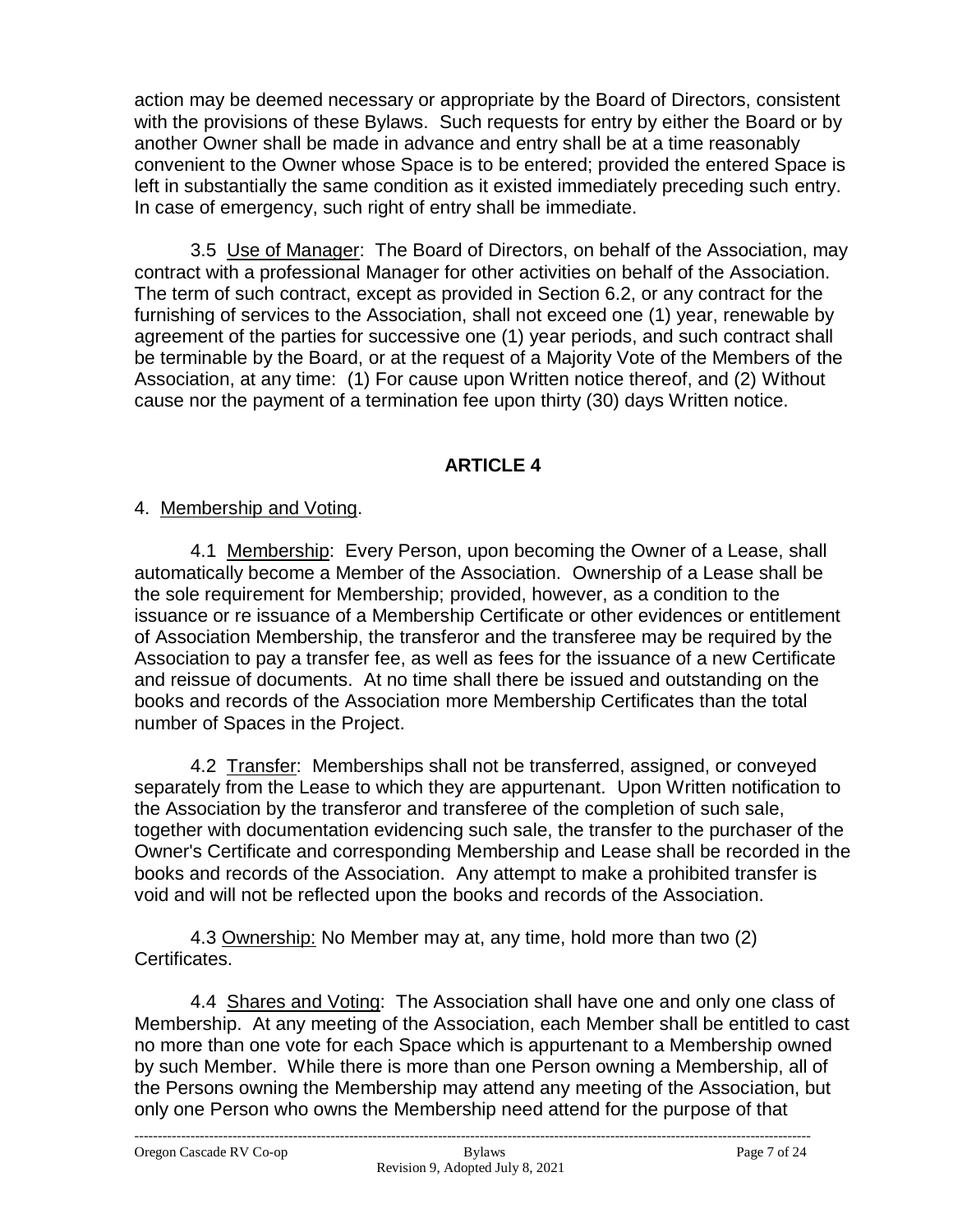action may be deemed necessary or appropriate by the Board of Directors, consistent with the provisions of these Bylaws. Such requests for entry by either the Board or by another Owner shall be made in advance and entry shall be at a time reasonably convenient to the Owner whose Space is to be entered; provided the entered Space is left in substantially the same condition as it existed immediately preceding such entry. In case of emergency, such right of entry shall be immediate.

3.5 Use of Manager: The Board of Directors, on behalf of the Association, may contract with a professional Manager for other activities on behalf of the Association. The term of such contract, except as provided in Section 6.2, or any contract for the furnishing of services to the Association, shall not exceed one (1) year, renewable by agreement of the parties for successive one (1) year periods, and such contract shall be terminable by the Board, or at the request of a Majority Vote of the Members of the Association, at any time: (1) For cause upon Written notice thereof, and (2) Without cause nor the payment of a termination fee upon thirty (30) days Written notice.

# **ARTICLE 4**

## 4. Membership and Voting.

4.1 Membership: Every Person, upon becoming the Owner of a Lease, shall automatically become a Member of the Association. Ownership of a Lease shall be the sole requirement for Membership; provided, however, as a condition to the issuance or re issuance of a Membership Certificate or other evidences or entitlement of Association Membership, the transferor and the transferee may be required by the Association to pay a transfer fee, as well as fees for the issuance of a new Certificate and reissue of documents. At no time shall there be issued and outstanding on the books and records of the Association more Membership Certificates than the total number of Spaces in the Project.

4.2 Transfer: Memberships shall not be transferred, assigned, or conveyed separately from the Lease to which they are appurtenant. Upon Written notification to the Association by the transferor and transferee of the completion of such sale, together with documentation evidencing such sale, the transfer to the purchaser of the Owner's Certificate and corresponding Membership and Lease shall be recorded in the books and records of the Association. Any attempt to make a prohibited transfer is void and will not be reflected upon the books and records of the Association.

4.3 Ownership: No Member may at, any time, hold more than two (2) Certificates.

4.4 Shares and Voting: The Association shall have one and only one class of Membership. At any meeting of the Association, each Member shall be entitled to cast no more than one vote for each Space which is appurtenant to a Membership owned by such Member. While there is more than one Person owning a Membership, all of the Persons owning the Membership may attend any meeting of the Association, but only one Person who owns the Membership need attend for the purpose of that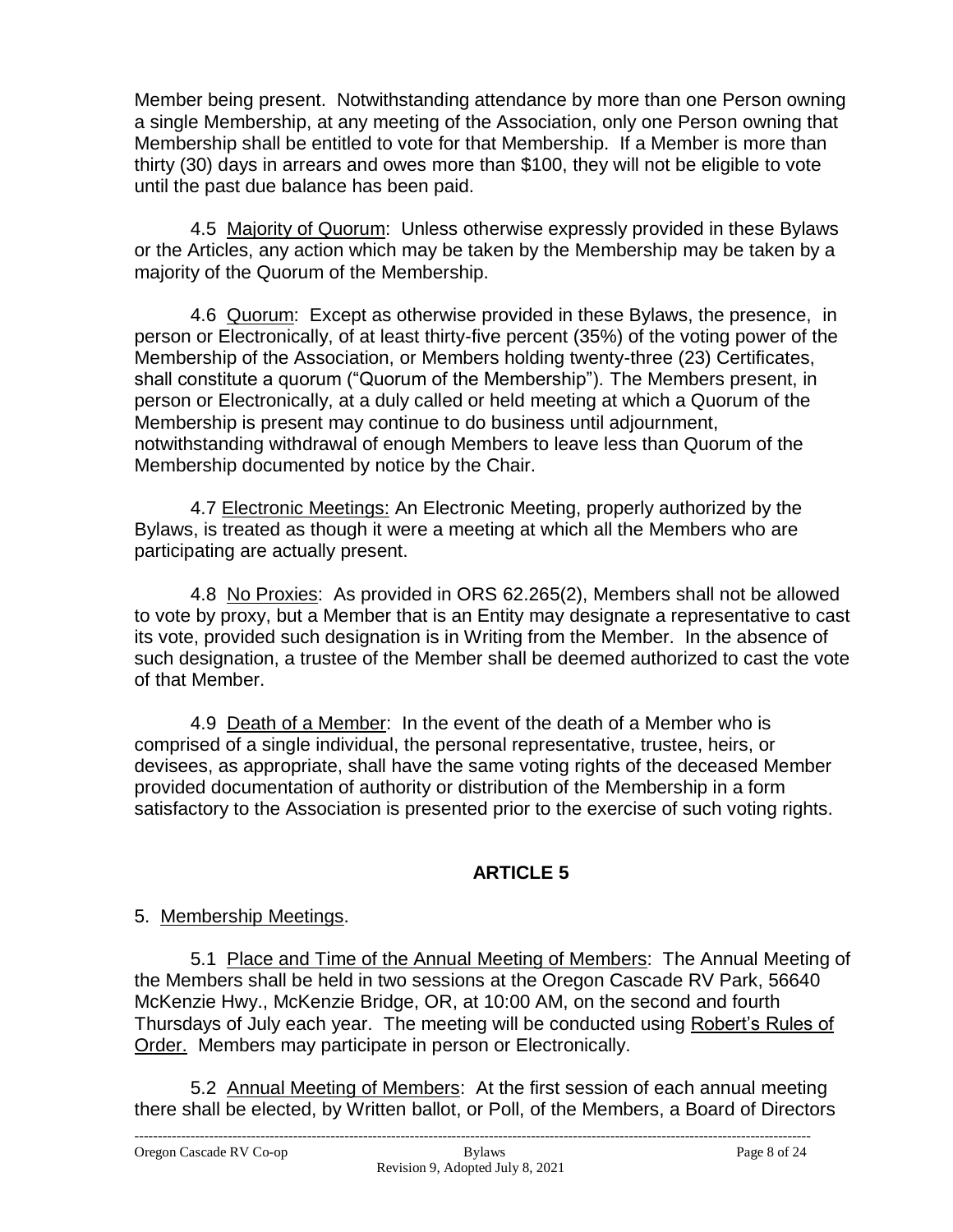Member being present. Notwithstanding attendance by more than one Person owning a single Membership, at any meeting of the Association, only one Person owning that Membership shall be entitled to vote for that Membership. If a Member is more than thirty (30) days in arrears and owes more than \$100, they will not be eligible to vote until the past due balance has been paid.

4.5 Majority of Quorum: Unless otherwise expressly provided in these Bylaws or the Articles, any action which may be taken by the Membership may be taken by a majority of the Quorum of the Membership.

4.6 Quorum: Except as otherwise provided in these Bylaws, the presence, in person or Electronically, of at least thirty-five percent (35%) of the voting power of the Membership of the Association, or Members holding twenty-three (23) Certificates, shall constitute a quorum ("Quorum of the Membership"). The Members present, in person or Electronically, at a duly called or held meeting at which a Quorum of the Membership is present may continue to do business until adjournment, notwithstanding withdrawal of enough Members to leave less than Quorum of the Membership documented by notice by the Chair.

4.7 Electronic Meetings: An Electronic Meeting, properly authorized by the Bylaws, is treated as though it were a meeting at which all the Members who are participating are actually present.

4.8 No Proxies: As provided in ORS 62.265(2), Members shall not be allowed to vote by proxy, but a Member that is an Entity may designate a representative to cast its vote, provided such designation is in Writing from the Member. In the absence of such designation, a trustee of the Member shall be deemed authorized to cast the vote of that Member.

4.9 Death of a Member: In the event of the death of a Member who is comprised of a single individual, the personal representative, trustee, heirs, or devisees, as appropriate, shall have the same voting rights of the deceased Member provided documentation of authority or distribution of the Membership in a form satisfactory to the Association is presented prior to the exercise of such voting rights.

# **ARTICLE 5**

### 5. Membership Meetings.

5.1 Place and Time of the Annual Meeting of Members: The Annual Meeting of the Members shall be held in two sessions at the Oregon Cascade RV Park, 56640 McKenzie Hwy., McKenzie Bridge, OR, at 10:00 AM, on the second and fourth Thursdays of July each year. The meeting will be conducted using Robert's Rules of Order.Members may participate in person or Electronically.

5.2 Annual Meeting of Members: At the first session of each annual meeting there shall be elected, by Written ballot, or Poll, of the Members, a Board of Directors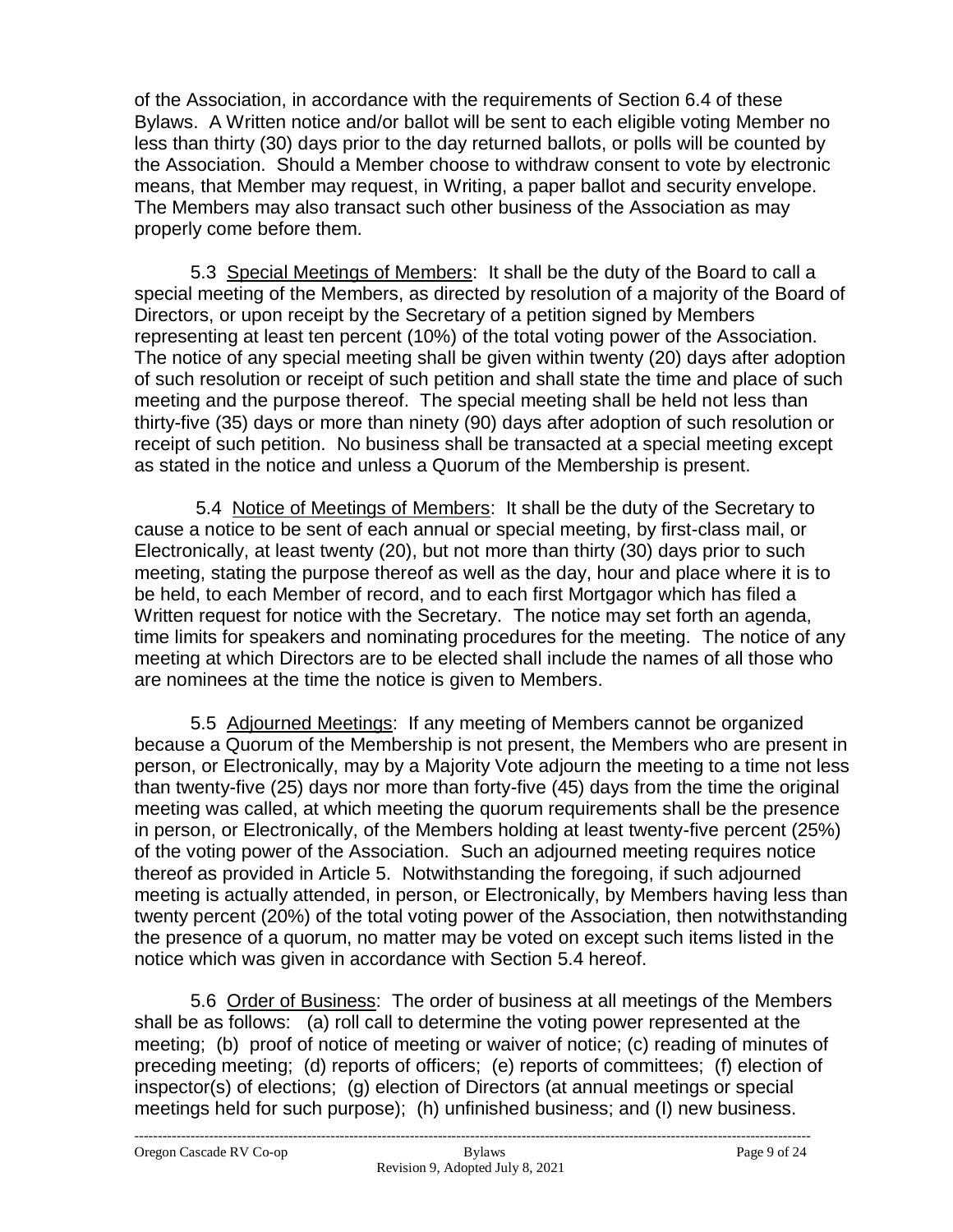of the Association, in accordance with the requirements of Section 6.4 of these Bylaws. A Written notice and/or ballot will be sent to each eligible voting Member no less than thirty (30) days prior to the day returned ballots, or polls will be counted by the Association. Should a Member choose to withdraw consent to vote by electronic means, that Member may request, in Writing, a paper ballot and security envelope. The Members may also transact such other business of the Association as may properly come before them.

5.3 Special Meetings of Members: It shall be the duty of the Board to call a special meeting of the Members, as directed by resolution of a majority of the Board of Directors, or upon receipt by the Secretary of a petition signed by Members representing at least ten percent (10%) of the total voting power of the Association. The notice of any special meeting shall be given within twenty (20) days after adoption of such resolution or receipt of such petition and shall state the time and place of such meeting and the purpose thereof. The special meeting shall be held not less than thirty-five (35) days or more than ninety (90) days after adoption of such resolution or receipt of such petition. No business shall be transacted at a special meeting except as stated in the notice and unless a Quorum of the Membership is present.

5.4 Notice of Meetings of Members: It shall be the duty of the Secretary to cause a notice to be sent of each annual or special meeting, by first-class mail, or Electronically, at least twenty (20), but not more than thirty (30) days prior to such meeting, stating the purpose thereof as well as the day, hour and place where it is to be held, to each Member of record, and to each first Mortgagor which has filed a Written request for notice with the Secretary. The notice may set forth an agenda, time limits for speakers and nominating procedures for the meeting. The notice of any meeting at which Directors are to be elected shall include the names of all those who are nominees at the time the notice is given to Members.

5.5 Adjourned Meetings: If any meeting of Members cannot be organized because a Quorum of the Membership is not present, the Members who are present in person, or Electronically, may by a Majority Vote adjourn the meeting to a time not less than twenty-five (25) days nor more than forty-five (45) days from the time the original meeting was called, at which meeting the quorum requirements shall be the presence in person, or Electronically, of the Members holding at least twenty-five percent (25%) of the voting power of the Association. Such an adjourned meeting requires notice thereof as provided in Article 5. Notwithstanding the foregoing, if such adjourned meeting is actually attended, in person, or Electronically, by Members having less than twenty percent (20%) of the total voting power of the Association, then notwithstanding the presence of a quorum, no matter may be voted on except such items listed in the notice which was given in accordance with Section 5.4 hereof.

5.6 Order of Business: The order of business at all meetings of the Members shall be as follows: (a) roll call to determine the voting power represented at the meeting; (b) proof of notice of meeting or waiver of notice; (c) reading of minutes of preceding meeting; (d) reports of officers; (e) reports of committees; (f) election of inspector(s) of elections; (g) election of Directors (at annual meetings or special meetings held for such purpose); (h) unfinished business; and (I) new business.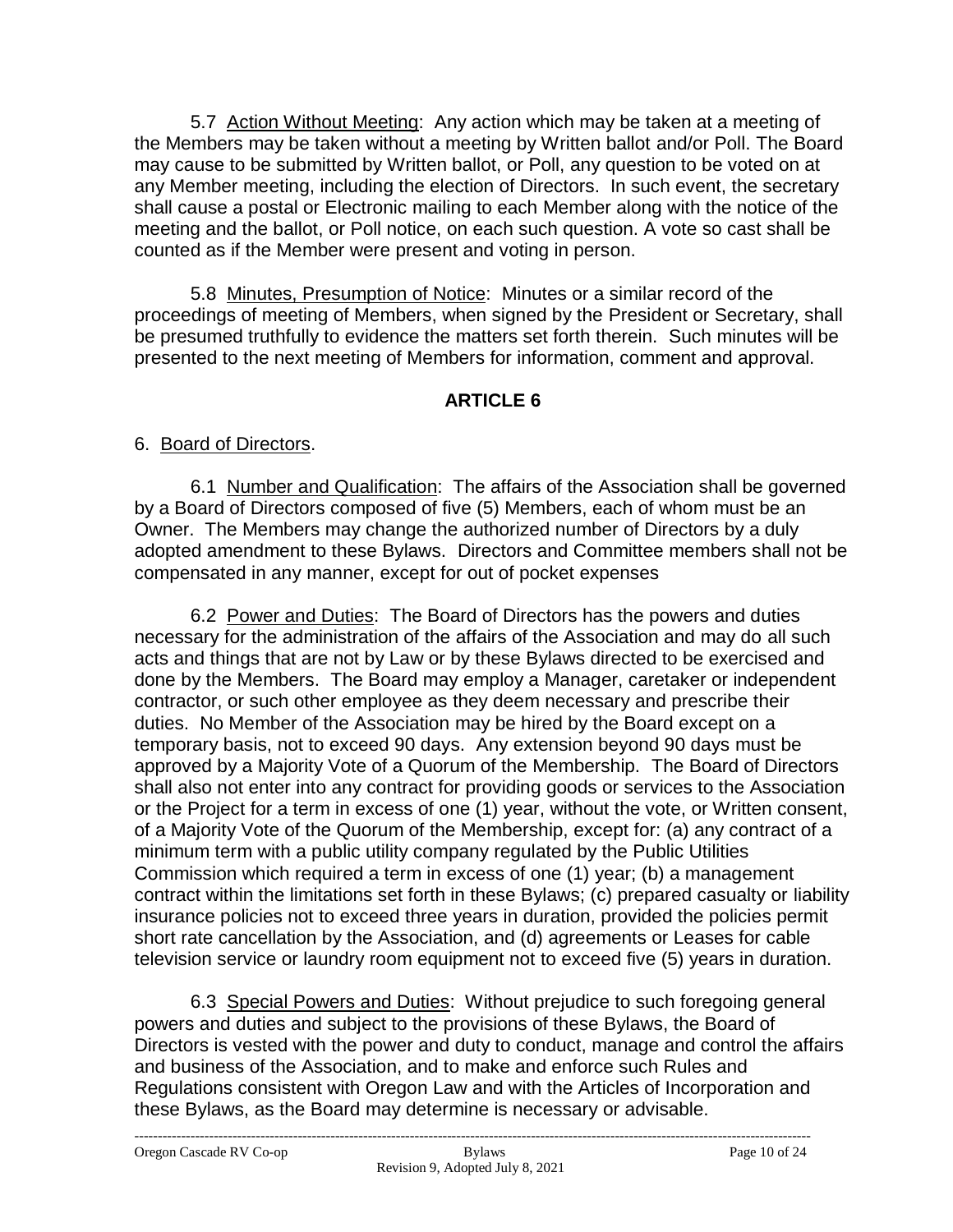5.7 Action Without Meeting: Any action which may be taken at a meeting of the Members may be taken without a meeting by Written ballot and/or Poll. The Board may cause to be submitted by Written ballot, or Poll, any question to be voted on at any Member meeting, including the election of Directors. In such event, the secretary shall cause a postal or Electronic mailing to each Member along with the notice of the meeting and the ballot, or Poll notice, on each such question. A vote so cast shall be counted as if the Member were present and voting in person.

5.8 Minutes, Presumption of Notice: Minutes or a similar record of the proceedings of meeting of Members, when signed by the President or Secretary, shall be presumed truthfully to evidence the matters set forth therein. Such minutes will be presented to the next meeting of Members for information, comment and approval.

# **ARTICLE 6**

## 6. Board of Directors.

6.1 Number and Qualification: The affairs of the Association shall be governed by a Board of Directors composed of five (5) Members, each of whom must be an Owner. The Members may change the authorized number of Directors by a duly adopted amendment to these Bylaws. Directors and Committee members shall not be compensated in any manner, except for out of pocket expenses

6.2 Power and Duties: The Board of Directors has the powers and duties necessary for the administration of the affairs of the Association and may do all such acts and things that are not by Law or by these Bylaws directed to be exercised and done by the Members. The Board may employ a Manager, caretaker or independent contractor, or such other employee as they deem necessary and prescribe their duties. No Member of the Association may be hired by the Board except on a temporary basis, not to exceed 90 days. Any extension beyond 90 days must be approved by a Majority Vote of a Quorum of the Membership. The Board of Directors shall also not enter into any contract for providing goods or services to the Association or the Project for a term in excess of one (1) year, without the vote, or Written consent, of a Majority Vote of the Quorum of the Membership, except for: (a) any contract of a minimum term with a public utility company regulated by the Public Utilities Commission which required a term in excess of one (1) year; (b) a management contract within the limitations set forth in these Bylaws; (c) prepared casualty or liability insurance policies not to exceed three years in duration, provided the policies permit short rate cancellation by the Association, and (d) agreements or Leases for cable television service or laundry room equipment not to exceed five (5) years in duration.

6.3 Special Powers and Duties: Without prejudice to such foregoing general powers and duties and subject to the provisions of these Bylaws, the Board of Directors is vested with the power and duty to conduct, manage and control the affairs and business of the Association, and to make and enforce such Rules and Regulations consistent with Oregon Law and with the Articles of Incorporation and these Bylaws, as the Board may determine is necessary or advisable.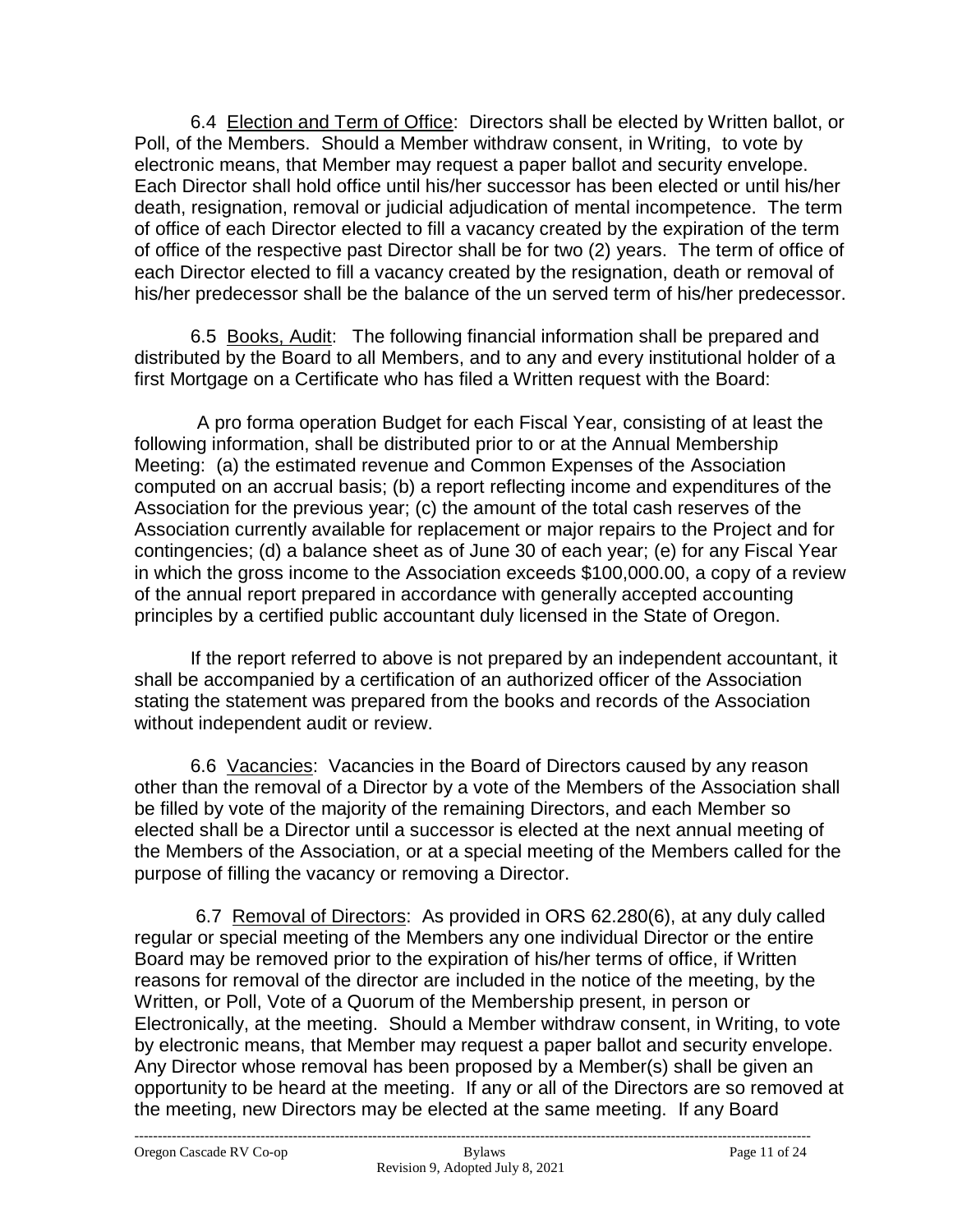6.4 Election and Term of Office: Directors shall be elected by Written ballot, or Poll, of the Members. Should a Member withdraw consent, in Writing, to vote by electronic means, that Member may request a paper ballot and security envelope. Each Director shall hold office until his/her successor has been elected or until his/her death, resignation, removal or judicial adjudication of mental incompetence. The term of office of each Director elected to fill a vacancy created by the expiration of the term of office of the respective past Director shall be for two (2) years. The term of office of each Director elected to fill a vacancy created by the resignation, death or removal of his/her predecessor shall be the balance of the un served term of his/her predecessor.

6.5 Books, Audit: The following financial information shall be prepared and distributed by the Board to all Members, and to any and every institutional holder of a first Mortgage on a Certificate who has filed a Written request with the Board:

 A pro forma operation Budget for each Fiscal Year, consisting of at least the following information, shall be distributed prior to or at the Annual Membership Meeting: (a) the estimated revenue and Common Expenses of the Association computed on an accrual basis; (b) a report reflecting income and expenditures of the Association for the previous year; (c) the amount of the total cash reserves of the Association currently available for replacement or major repairs to the Project and for contingencies; (d) a balance sheet as of June 30 of each year; (e) for any Fiscal Year in which the gross income to the Association exceeds \$100,000.00, a copy of a review of the annual report prepared in accordance with generally accepted accounting principles by a certified public accountant duly licensed in the State of Oregon.

If the report referred to above is not prepared by an independent accountant, it shall be accompanied by a certification of an authorized officer of the Association stating the statement was prepared from the books and records of the Association without independent audit or review.

6.6 Vacancies: Vacancies in the Board of Directors caused by any reason other than the removal of a Director by a vote of the Members of the Association shall be filled by vote of the majority of the remaining Directors, and each Member so elected shall be a Director until a successor is elected at the next annual meeting of the Members of the Association, or at a special meeting of the Members called for the purpose of filling the vacancy or removing a Director.

6.7 Removal of Directors: As provided in ORS 62.280(6), at any duly called regular or special meeting of the Members any one individual Director or the entire Board may be removed prior to the expiration of his/her terms of office, if Written reasons for removal of the director are included in the notice of the meeting, by the Written, or Poll, Vote of a Quorum of the Membership present, in person or Electronically, at the meeting. Should a Member withdraw consent, in Writing, to vote by electronic means, that Member may request a paper ballot and security envelope. Any Director whose removal has been proposed by a Member(s) shall be given an opportunity to be heard at the meeting. If any or all of the Directors are so removed at the meeting, new Directors may be elected at the same meeting. If any Board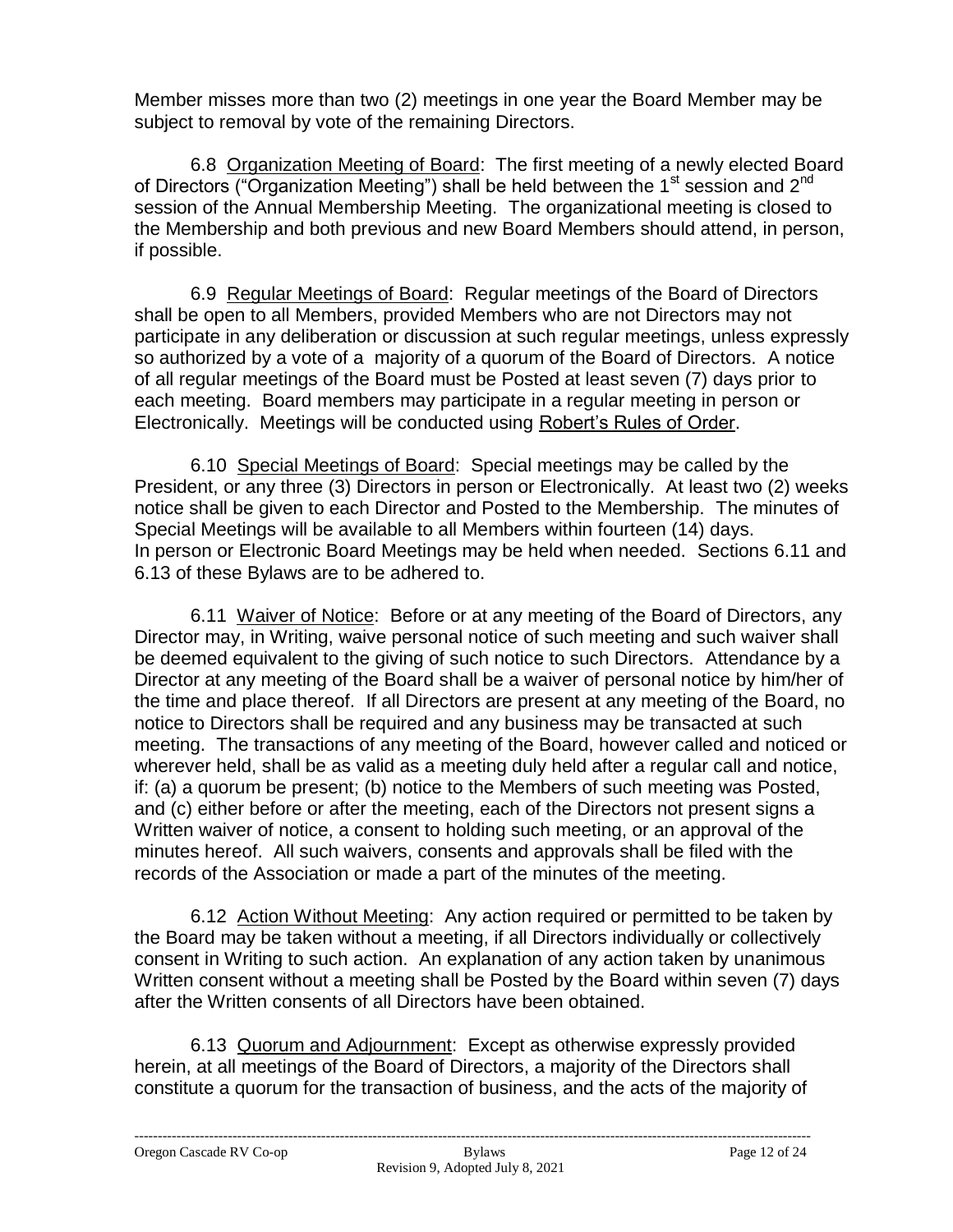Member misses more than two (2) meetings in one year the Board Member may be subject to removal by vote of the remaining Directors.

6.8 Organization Meeting of Board: The first meeting of a newly elected Board of Directors ("Organization Meeting") shall be held between the 1<sup>st</sup> session and  $2^{nd}$ session of the Annual Membership Meeting. The organizational meeting is closed to the Membership and both previous and new Board Members should attend, in person, if possible.

6.9 Regular Meetings of Board: Regular meetings of the Board of Directors shall be open to all Members, provided Members who are not Directors may not participate in any deliberation or discussion at such regular meetings, unless expressly so authorized by a vote of a majority of a quorum of the Board of Directors. A notice of all regular meetings of the Board must be Posted at least seven (7) days prior to each meeting. Board members may participate in a regular meeting in person or Electronically. Meetings will be conducted using Robert's Rules of Order.

6.10 Special Meetings of Board: Special meetings may be called by the President, or any three (3) Directors in person or Electronically. At least two (2) weeks notice shall be given to each Director and Posted to the Membership. The minutes of Special Meetings will be available to all Members within fourteen (14) days. In person or Electronic Board Meetings may be held when needed. Sections 6.11 and 6.13 of these Bylaws are to be adhered to.

6.11 Waiver of Notice: Before or at any meeting of the Board of Directors, any Director may, in Writing, waive personal notice of such meeting and such waiver shall be deemed equivalent to the giving of such notice to such Directors. Attendance by a Director at any meeting of the Board shall be a waiver of personal notice by him/her of the time and place thereof. If all Directors are present at any meeting of the Board, no notice to Directors shall be required and any business may be transacted at such meeting. The transactions of any meeting of the Board, however called and noticed or wherever held, shall be as valid as a meeting duly held after a regular call and notice, if: (a) a quorum be present; (b) notice to the Members of such meeting was Posted, and (c) either before or after the meeting, each of the Directors not present signs a Written waiver of notice, a consent to holding such meeting, or an approval of the minutes hereof. All such waivers, consents and approvals shall be filed with the records of the Association or made a part of the minutes of the meeting.

6.12 Action Without Meeting: Any action required or permitted to be taken by the Board may be taken without a meeting, if all Directors individually or collectively consent in Writing to such action. An explanation of any action taken by unanimous Written consent without a meeting shall be Posted by the Board within seven (7) days after the Written consents of all Directors have been obtained.

6.13 Quorum and Adjournment: Except as otherwise expressly provided herein, at all meetings of the Board of Directors, a majority of the Directors shall constitute a quorum for the transaction of business, and the acts of the majority of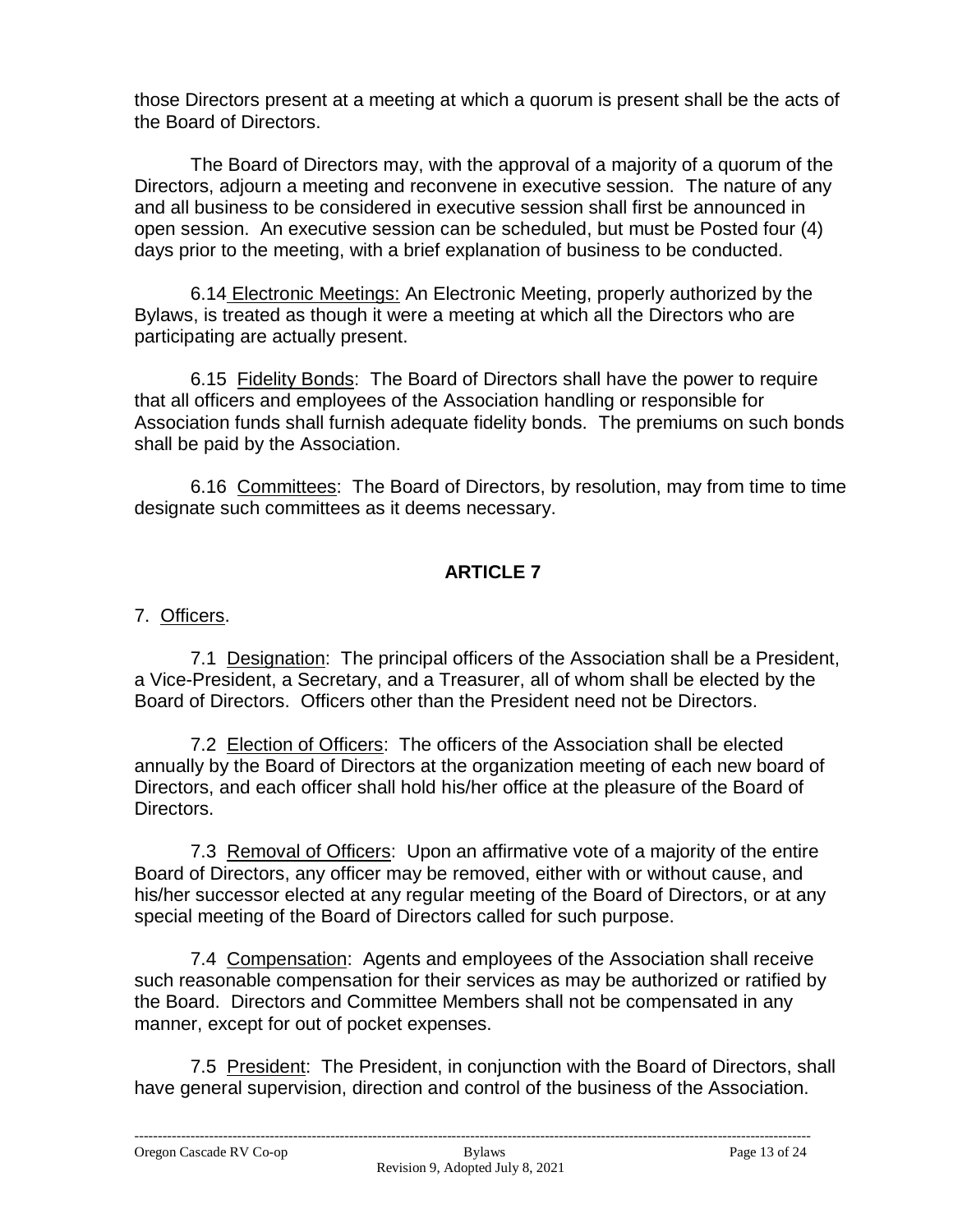those Directors present at a meeting at which a quorum is present shall be the acts of the Board of Directors.

The Board of Directors may, with the approval of a majority of a quorum of the Directors, adjourn a meeting and reconvene in executive session. The nature of any and all business to be considered in executive session shall first be announced in open session. An executive session can be scheduled, but must be Posted four (4) days prior to the meeting, with a brief explanation of business to be conducted.

6.14 Electronic Meetings: An Electronic Meeting, properly authorized by the Bylaws, is treated as though it were a meeting at which all the Directors who are participating are actually present.

6.15 Fidelity Bonds: The Board of Directors shall have the power to require that all officers and employees of the Association handling or responsible for Association funds shall furnish adequate fidelity bonds. The premiums on such bonds shall be paid by the Association.

6.16 Committees: The Board of Directors, by resolution, may from time to time designate such committees as it deems necessary.

# **ARTICLE 7**

## 7. Officers.

7.1 Designation: The principal officers of the Association shall be a President, a Vice-President, a Secretary, and a Treasurer, all of whom shall be elected by the Board of Directors. Officers other than the President need not be Directors.

7.2 Election of Officers: The officers of the Association shall be elected annually by the Board of Directors at the organization meeting of each new board of Directors, and each officer shall hold his/her office at the pleasure of the Board of Directors.

7.3 Removal of Officers: Upon an affirmative vote of a majority of the entire Board of Directors, any officer may be removed, either with or without cause, and his/her successor elected at any regular meeting of the Board of Directors, or at any special meeting of the Board of Directors called for such purpose.

7.4 Compensation: Agents and employees of the Association shall receive such reasonable compensation for their services as may be authorized or ratified by the Board. Directors and Committee Members shall not be compensated in any manner, except for out of pocket expenses.

7.5 President: The President, in conjunction with the Board of Directors, shall have general supervision, direction and control of the business of the Association.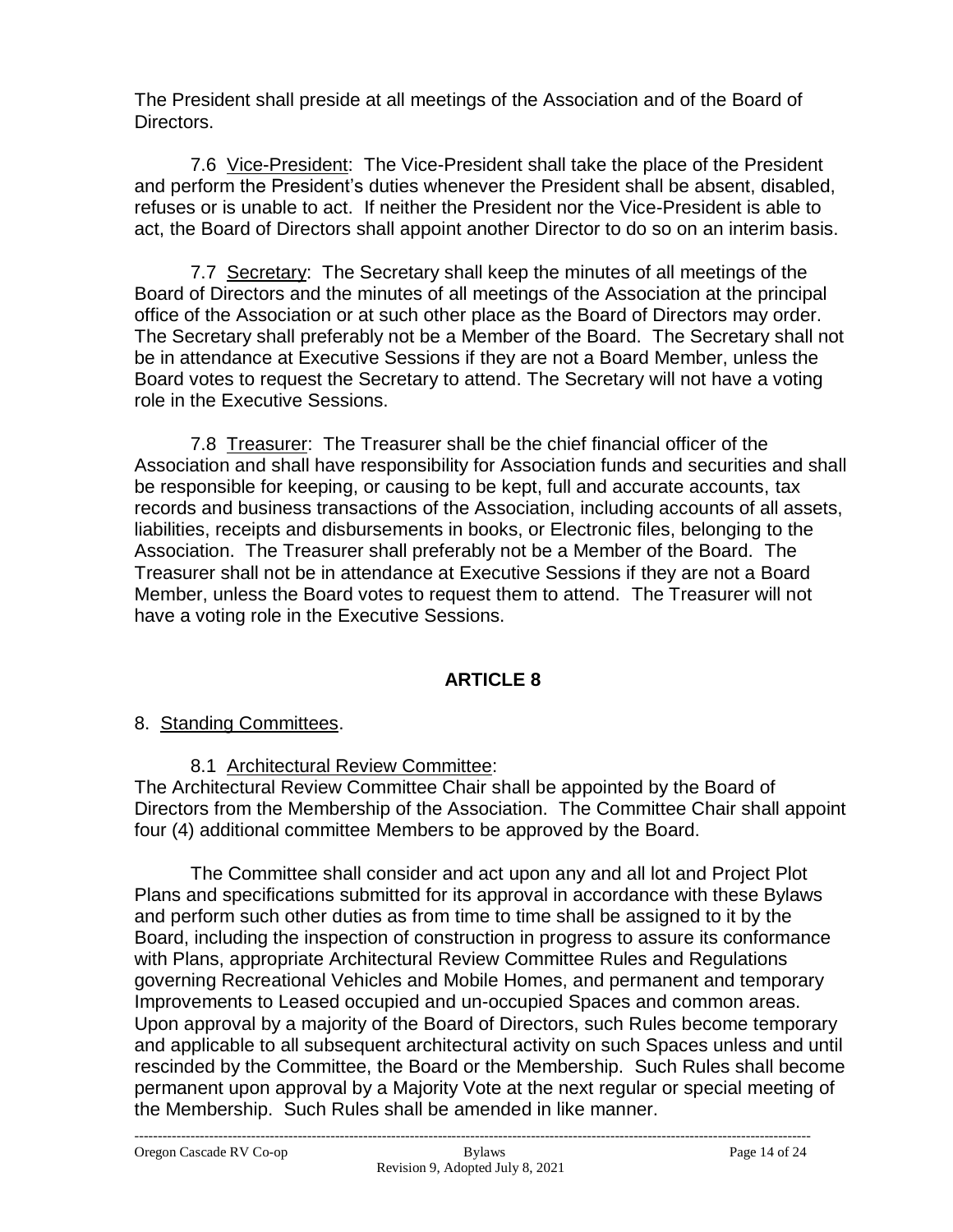The President shall preside at all meetings of the Association and of the Board of Directors.

7.6 Vice-President: The Vice-President shall take the place of the President and perform the President's duties whenever the President shall be absent, disabled, refuses or is unable to act. If neither the President nor the Vice-President is able to act, the Board of Directors shall appoint another Director to do so on an interim basis.

7.7 Secretary: The Secretary shall keep the minutes of all meetings of the Board of Directors and the minutes of all meetings of the Association at the principal office of the Association or at such other place as the Board of Directors may order. The Secretary shall preferably not be a Member of the Board. The Secretary shall not be in attendance at Executive Sessions if they are not a Board Member, unless the Board votes to request the Secretary to attend. The Secretary will not have a voting role in the Executive Sessions.

7.8 Treasurer: The Treasurer shall be the chief financial officer of the Association and shall have responsibility for Association funds and securities and shall be responsible for keeping, or causing to be kept, full and accurate accounts, tax records and business transactions of the Association, including accounts of all assets, liabilities, receipts and disbursements in books, or Electronic files, belonging to the Association. The Treasurer shall preferably not be a Member of the Board. The Treasurer shall not be in attendance at Executive Sessions if they are not a Board Member, unless the Board votes to request them to attend. The Treasurer will not have a voting role in the Executive Sessions.

### **ARTICLE 8**

### 8. Standing Committees.

8.1 Architectural Review Committee:

The Architectural Review Committee Chair shall be appointed by the Board of Directors from the Membership of the Association. The Committee Chair shall appoint four (4) additional committee Members to be approved by the Board.

The Committee shall consider and act upon any and all lot and Project Plot Plans and specifications submitted for its approval in accordance with these Bylaws and perform such other duties as from time to time shall be assigned to it by the Board, including the inspection of construction in progress to assure its conformance with Plans, appropriate Architectural Review Committee Rules and Regulations governing Recreational Vehicles and Mobile Homes, and permanent and temporary Improvements to Leased occupied and un-occupied Spaces and common areas. Upon approval by a majority of the Board of Directors, such Rules become temporary and applicable to all subsequent architectural activity on such Spaces unless and until rescinded by the Committee, the Board or the Membership. Such Rules shall become permanent upon approval by a Majority Vote at the next regular or special meeting of the Membership. Such Rules shall be amended in like manner.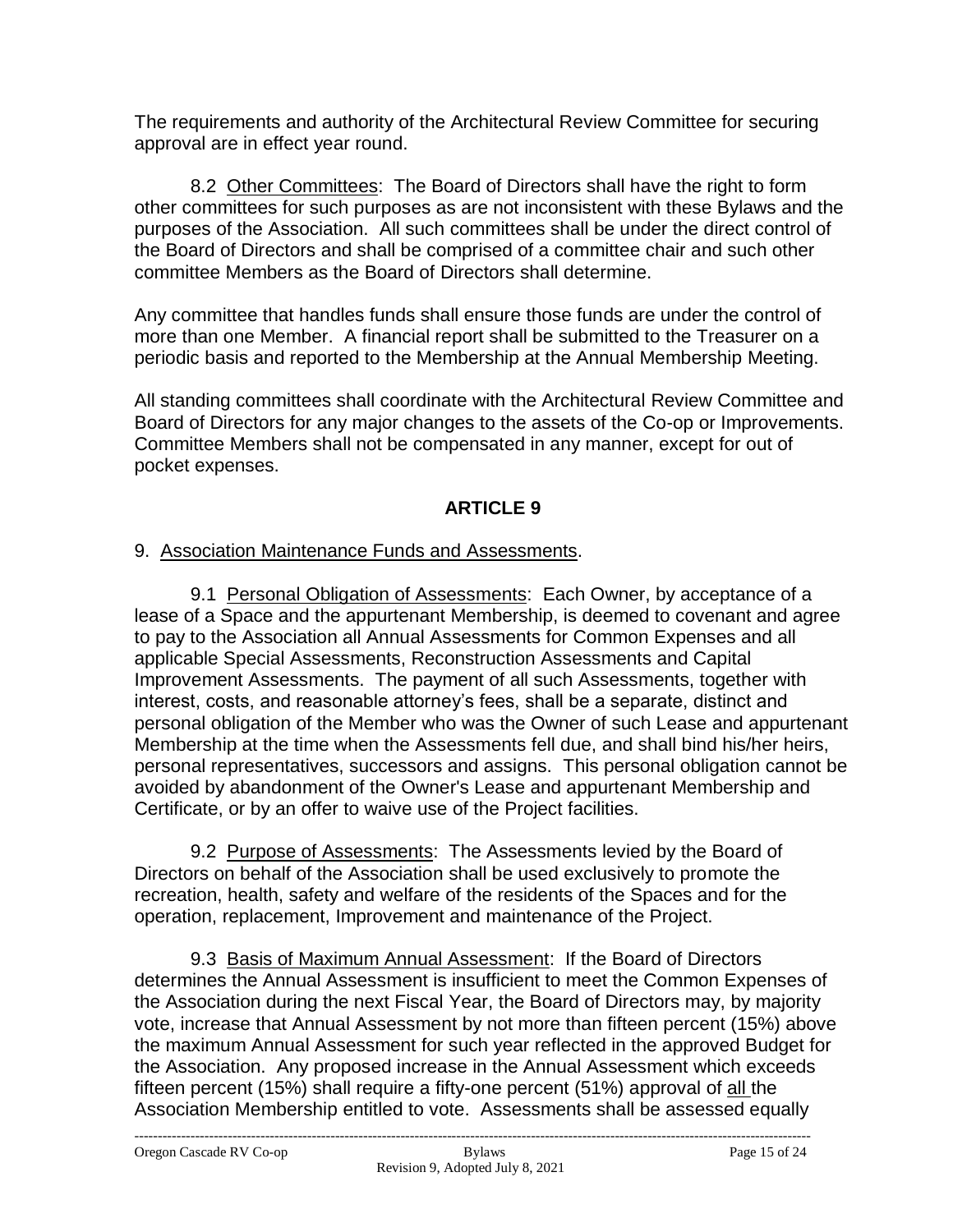The requirements and authority of the Architectural Review Committee for securing approval are in effect year round.

8.2 Other Committees: The Board of Directors shall have the right to form other committees for such purposes as are not inconsistent with these Bylaws and the purposes of the Association. All such committees shall be under the direct control of the Board of Directors and shall be comprised of a committee chair and such other committee Members as the Board of Directors shall determine.

Any committee that handles funds shall ensure those funds are under the control of more than one Member. A financial report shall be submitted to the Treasurer on a periodic basis and reported to the Membership at the Annual Membership Meeting.

All standing committees shall coordinate with the Architectural Review Committee and Board of Directors for any major changes to the assets of the Co-op or Improvements. Committee Members shall not be compensated in any manner, except for out of pocket expenses.

# **ARTICLE 9**

## 9. Association Maintenance Funds and Assessments.

9.1 Personal Obligation of Assessments: Each Owner, by acceptance of a lease of a Space and the appurtenant Membership, is deemed to covenant and agree to pay to the Association all Annual Assessments for Common Expenses and all applicable Special Assessments, Reconstruction Assessments and Capital Improvement Assessments. The payment of all such Assessments, together with interest, costs, and reasonable attorney's fees, shall be a separate, distinct and personal obligation of the Member who was the Owner of such Lease and appurtenant Membership at the time when the Assessments fell due, and shall bind his/her heirs, personal representatives, successors and assigns. This personal obligation cannot be avoided by abandonment of the Owner's Lease and appurtenant Membership and Certificate, or by an offer to waive use of the Project facilities.

9.2 Purpose of Assessments: The Assessments levied by the Board of Directors on behalf of the Association shall be used exclusively to promote the recreation, health, safety and welfare of the residents of the Spaces and for the operation, replacement, Improvement and maintenance of the Project.

9.3 Basis of Maximum Annual Assessment: If the Board of Directors determines the Annual Assessment is insufficient to meet the Common Expenses of the Association during the next Fiscal Year, the Board of Directors may, by majority vote, increase that Annual Assessment by not more than fifteen percent (15%) above the maximum Annual Assessment for such year reflected in the approved Budget for the Association. Any proposed increase in the Annual Assessment which exceeds fifteen percent (15%) shall require a fifty-one percent (51%) approval of all the Association Membership entitled to vote. Assessments shall be assessed equally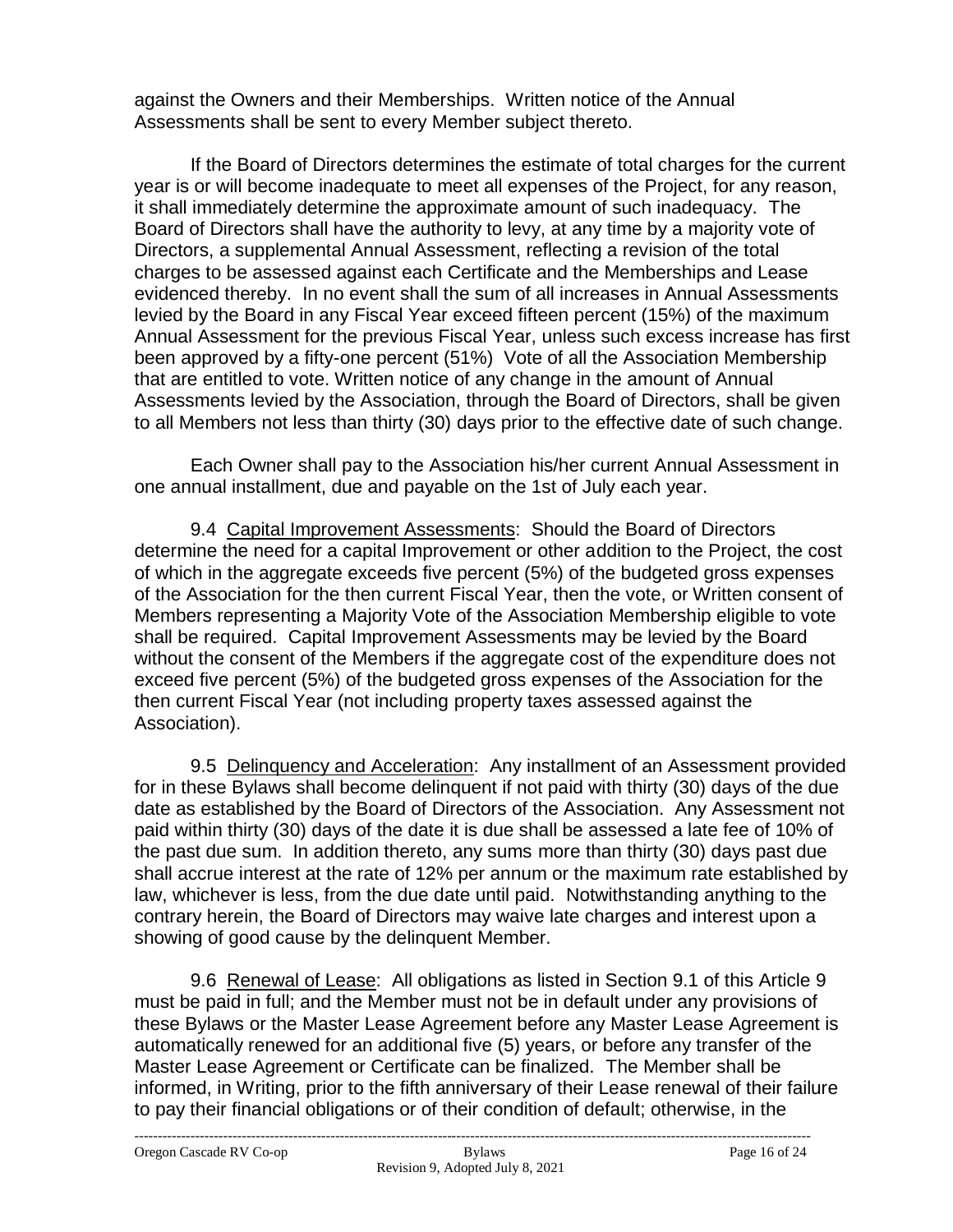against the Owners and their Memberships. Written notice of the Annual Assessments shall be sent to every Member subject thereto.

If the Board of Directors determines the estimate of total charges for the current year is or will become inadequate to meet all expenses of the Project, for any reason, it shall immediately determine the approximate amount of such inadequacy. The Board of Directors shall have the authority to levy, at any time by a majority vote of Directors, a supplemental Annual Assessment, reflecting a revision of the total charges to be assessed against each Certificate and the Memberships and Lease evidenced thereby. In no event shall the sum of all increases in Annual Assessments levied by the Board in any Fiscal Year exceed fifteen percent (15%) of the maximum Annual Assessment for the previous Fiscal Year, unless such excess increase has first been approved by a fifty-one percent (51%) Vote of all the Association Membership that are entitled to vote. Written notice of any change in the amount of Annual Assessments levied by the Association, through the Board of Directors, shall be given to all Members not less than thirty (30) days prior to the effective date of such change.

Each Owner shall pay to the Association his/her current Annual Assessment in one annual installment, due and payable on the 1st of July each year.

9.4 Capital Improvement Assessments: Should the Board of Directors determine the need for a capital Improvement or other addition to the Project, the cost of which in the aggregate exceeds five percent (5%) of the budgeted gross expenses of the Association for the then current Fiscal Year, then the vote, or Written consent of Members representing a Majority Vote of the Association Membership eligible to vote shall be required. Capital Improvement Assessments may be levied by the Board without the consent of the Members if the aggregate cost of the expenditure does not exceed five percent (5%) of the budgeted gross expenses of the Association for the then current Fiscal Year (not including property taxes assessed against the Association).

9.5 Delinquency and Acceleration: Any installment of an Assessment provided for in these Bylaws shall become delinquent if not paid with thirty (30) days of the due date as established by the Board of Directors of the Association. Any Assessment not paid within thirty (30) days of the date it is due shall be assessed a late fee of 10% of the past due sum. In addition thereto, any sums more than thirty (30) days past due shall accrue interest at the rate of 12% per annum or the maximum rate established by law, whichever is less, from the due date until paid. Notwithstanding anything to the contrary herein, the Board of Directors may waive late charges and interest upon a showing of good cause by the delinquent Member.

9.6 Renewal of Lease: All obligations as listed in Section 9.1 of this Article 9 must be paid in full; and the Member must not be in default under any provisions of these Bylaws or the Master Lease Agreement before any Master Lease Agreement is automatically renewed for an additional five (5) years, or before any transfer of the Master Lease Agreement or Certificate can be finalized. The Member shall be informed, in Writing, prior to the fifth anniversary of their Lease renewal of their failure to pay their financial obligations or of their condition of default; otherwise, in the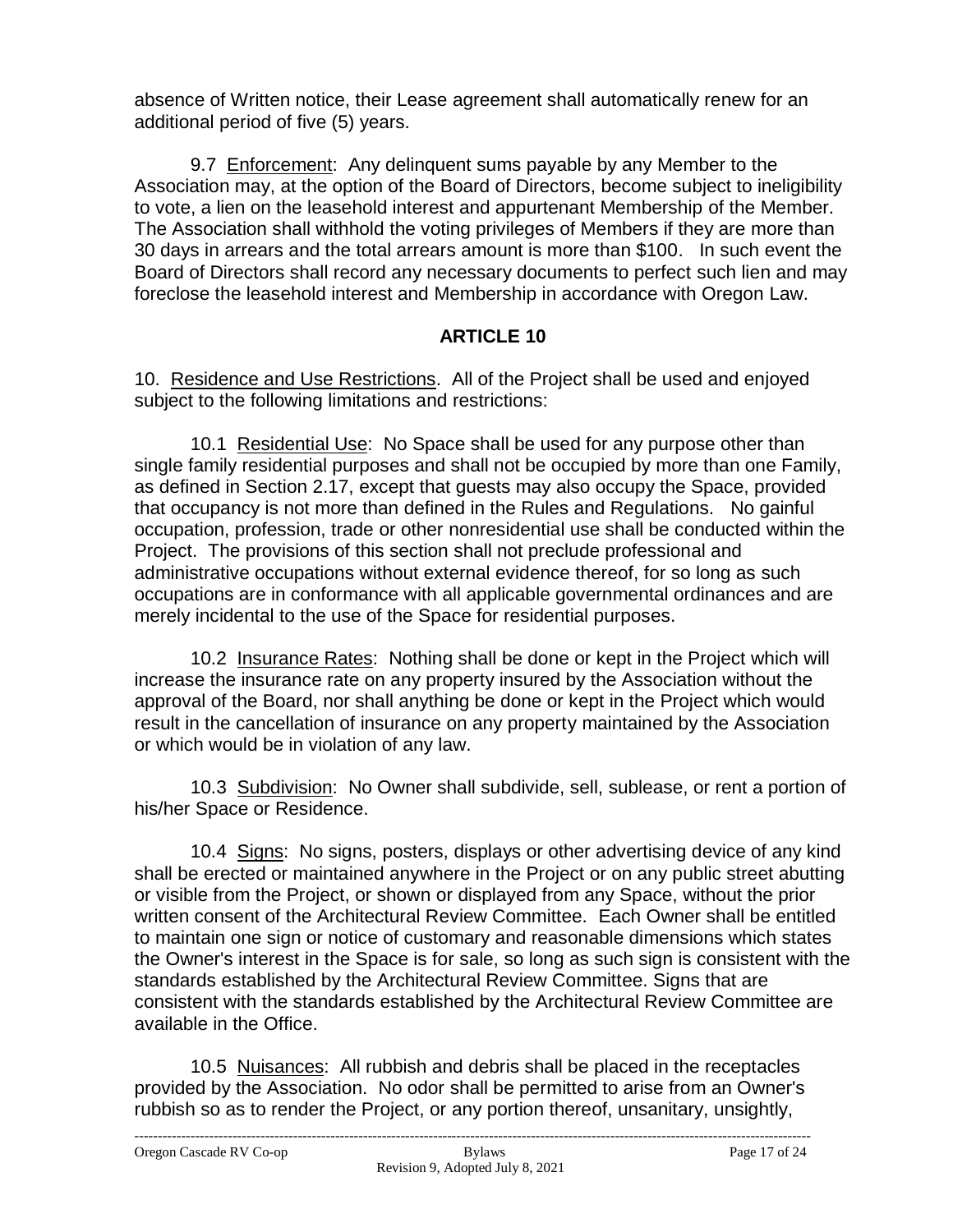absence of Written notice, their Lease agreement shall automatically renew for an additional period of five (5) years.

9.7 Enforcement: Any delinquent sums payable by any Member to the Association may, at the option of the Board of Directors, become subject to ineligibility to vote, a lien on the leasehold interest and appurtenant Membership of the Member. The Association shall withhold the voting privileges of Members if they are more than 30 days in arrears and the total arrears amount is more than \$100. In such event the Board of Directors shall record any necessary documents to perfect such lien and may foreclose the leasehold interest and Membership in accordance with Oregon Law.

## **ARTICLE 10**

10. Residence and Use Restrictions. All of the Project shall be used and enjoyed subject to the following limitations and restrictions:

10.1 Residential Use: No Space shall be used for any purpose other than single family residential purposes and shall not be occupied by more than one Family, as defined in Section 2.17, except that guests may also occupy the Space, provided that occupancy is not more than defined in the Rules and Regulations. No gainful occupation, profession, trade or other nonresidential use shall be conducted within the Project. The provisions of this section shall not preclude professional and administrative occupations without external evidence thereof, for so long as such occupations are in conformance with all applicable governmental ordinances and are merely incidental to the use of the Space for residential purposes.

10.2 Insurance Rates: Nothing shall be done or kept in the Project which will increase the insurance rate on any property insured by the Association without the approval of the Board, nor shall anything be done or kept in the Project which would result in the cancellation of insurance on any property maintained by the Association or which would be in violation of any law.

10.3 Subdivision: No Owner shall subdivide, sell, sublease, or rent a portion of his/her Space or Residence.

10.4 Signs: No signs, posters, displays or other advertising device of any kind shall be erected or maintained anywhere in the Project or on any public street abutting or visible from the Project, or shown or displayed from any Space, without the prior written consent of the Architectural Review Committee. Each Owner shall be entitled to maintain one sign or notice of customary and reasonable dimensions which states the Owner's interest in the Space is for sale, so long as such sign is consistent with the standards established by the Architectural Review Committee. Signs that are consistent with the standards established by the Architectural Review Committee are available in the Office.

10.5 Nuisances: All rubbish and debris shall be placed in the receptacles provided by the Association. No odor shall be permitted to arise from an Owner's rubbish so as to render the Project, or any portion thereof, unsanitary, unsightly,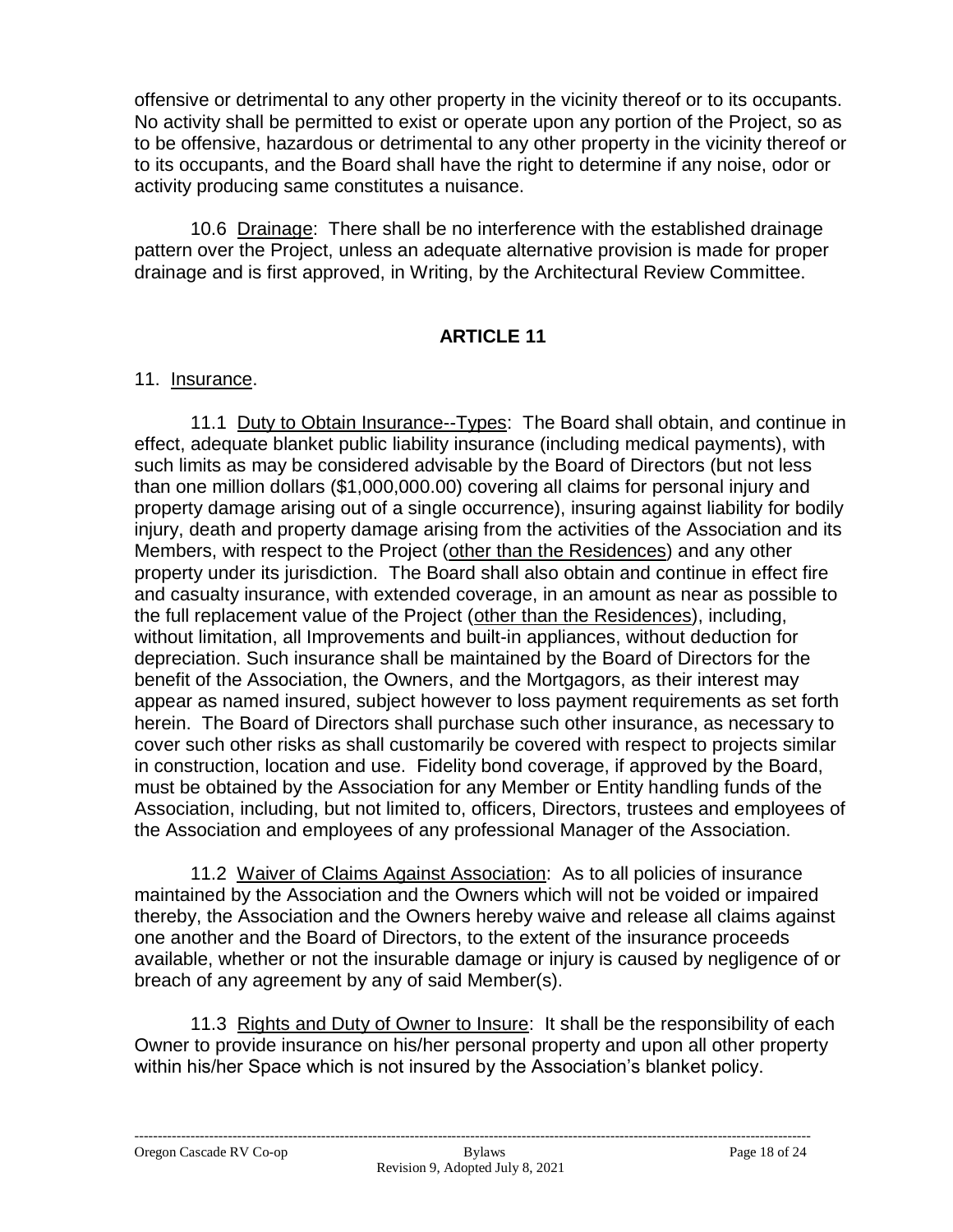offensive or detrimental to any other property in the vicinity thereof or to its occupants. No activity shall be permitted to exist or operate upon any portion of the Project, so as to be offensive, hazardous or detrimental to any other property in the vicinity thereof or to its occupants, and the Board shall have the right to determine if any noise, odor or activity producing same constitutes a nuisance.

10.6 Drainage: There shall be no interference with the established drainage pattern over the Project, unless an adequate alternative provision is made for proper drainage and is first approved, in Writing, by the Architectural Review Committee.

## **ARTICLE 11**

### 11. Insurance.

11.1 Duty to Obtain Insurance--Types: The Board shall obtain, and continue in effect, adequate blanket public liability insurance (including medical payments), with such limits as may be considered advisable by the Board of Directors (but not less than one million dollars (\$1,000,000.00) covering all claims for personal injury and property damage arising out of a single occurrence), insuring against liability for bodily injury, death and property damage arising from the activities of the Association and its Members, with respect to the Project (other than the Residences) and any other property under its jurisdiction. The Board shall also obtain and continue in effect fire and casualty insurance, with extended coverage, in an amount as near as possible to the full replacement value of the Project (other than the Residences), including, without limitation, all Improvements and built-in appliances, without deduction for depreciation. Such insurance shall be maintained by the Board of Directors for the benefit of the Association, the Owners, and the Mortgagors, as their interest may appear as named insured, subject however to loss payment requirements as set forth herein. The Board of Directors shall purchase such other insurance, as necessary to cover such other risks as shall customarily be covered with respect to projects similar in construction, location and use. Fidelity bond coverage, if approved by the Board, must be obtained by the Association for any Member or Entity handling funds of the Association, including, but not limited to, officers, Directors, trustees and employees of the Association and employees of any professional Manager of the Association.

11.2 Waiver of Claims Against Association: As to all policies of insurance maintained by the Association and the Owners which will not be voided or impaired thereby, the Association and the Owners hereby waive and release all claims against one another and the Board of Directors, to the extent of the insurance proceeds available, whether or not the insurable damage or injury is caused by negligence of or breach of any agreement by any of said Member(s).

11.3 Rights and Duty of Owner to Insure: It shall be the responsibility of each Owner to provide insurance on his/her personal property and upon all other property within his/her Space which is not insured by the Association's blanket policy.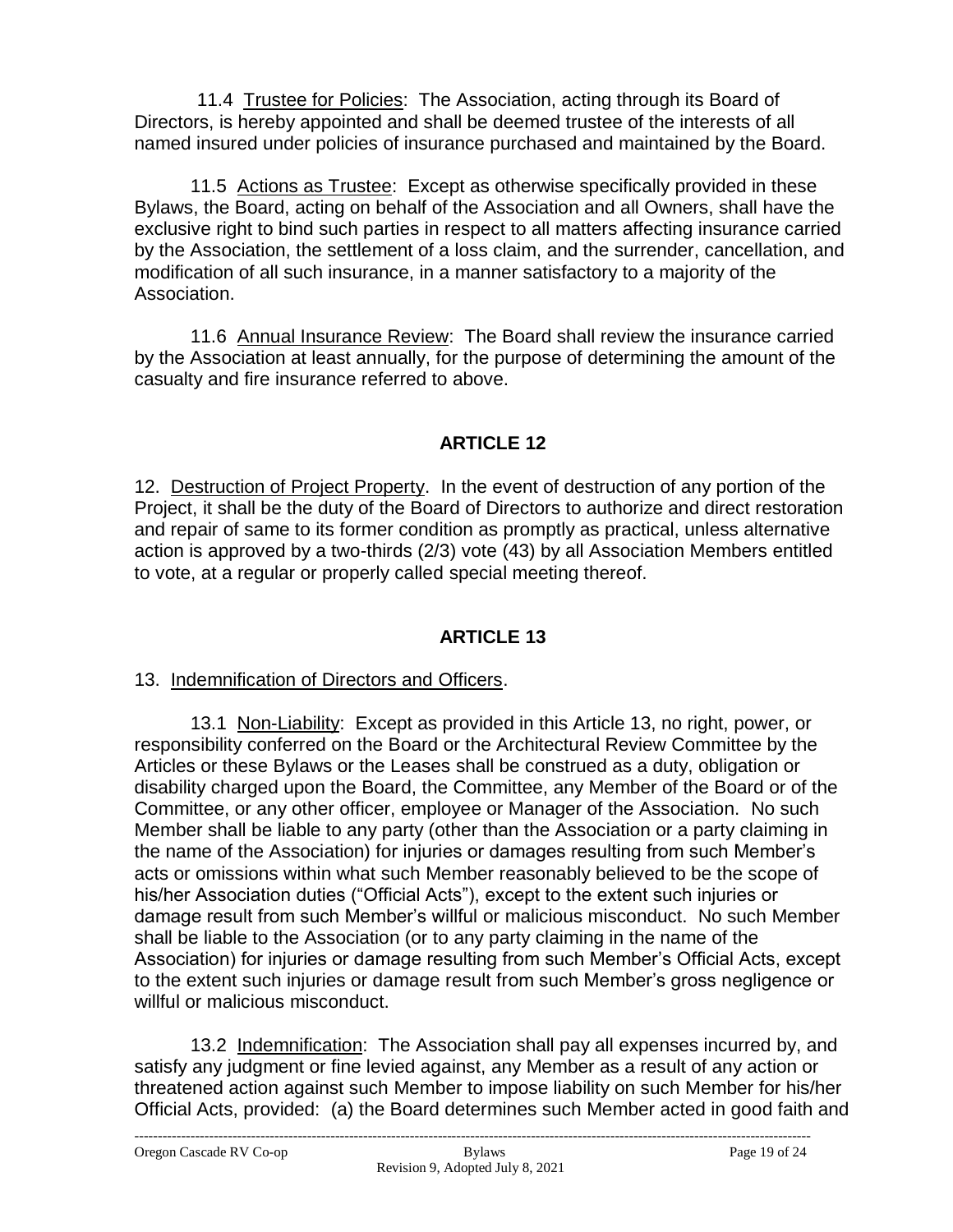11.4 Trustee for Policies: The Association, acting through its Board of Directors, is hereby appointed and shall be deemed trustee of the interests of all named insured under policies of insurance purchased and maintained by the Board.

11.5 Actions as Trustee: Except as otherwise specifically provided in these Bylaws, the Board, acting on behalf of the Association and all Owners, shall have the exclusive right to bind such parties in respect to all matters affecting insurance carried by the Association, the settlement of a loss claim, and the surrender, cancellation, and modification of all such insurance, in a manner satisfactory to a majority of the Association.

11.6 Annual Insurance Review: The Board shall review the insurance carried by the Association at least annually, for the purpose of determining the amount of the casualty and fire insurance referred to above.

# **ARTICLE 12**

12. Destruction of Project Property. In the event of destruction of any portion of the Project, it shall be the duty of the Board of Directors to authorize and direct restoration and repair of same to its former condition as promptly as practical, unless alternative action is approved by a two-thirds (2/3) vote (43) by all Association Members entitled to vote, at a regular or properly called special meeting thereof.

# **ARTICLE 13**

### 13. Indemnification of Directors and Officers.

13.1 Non-Liability: Except as provided in this Article 13, no right, power, or responsibility conferred on the Board or the Architectural Review Committee by the Articles or these Bylaws or the Leases shall be construed as a duty, obligation or disability charged upon the Board, the Committee, any Member of the Board or of the Committee, or any other officer, employee or Manager of the Association. No such Member shall be liable to any party (other than the Association or a party claiming in the name of the Association) for injuries or damages resulting from such Member's acts or omissions within what such Member reasonably believed to be the scope of his/her Association duties ("Official Acts"), except to the extent such injuries or damage result from such Member's willful or malicious misconduct. No such Member shall be liable to the Association (or to any party claiming in the name of the Association) for injuries or damage resulting from such Member's Official Acts, except to the extent such injuries or damage result from such Member's gross negligence or willful or malicious misconduct.

13.2 Indemnification: The Association shall pay all expenses incurred by, and satisfy any judgment or fine levied against, any Member as a result of any action or threatened action against such Member to impose liability on such Member for his/her Official Acts, provided: (a) the Board determines such Member acted in good faith and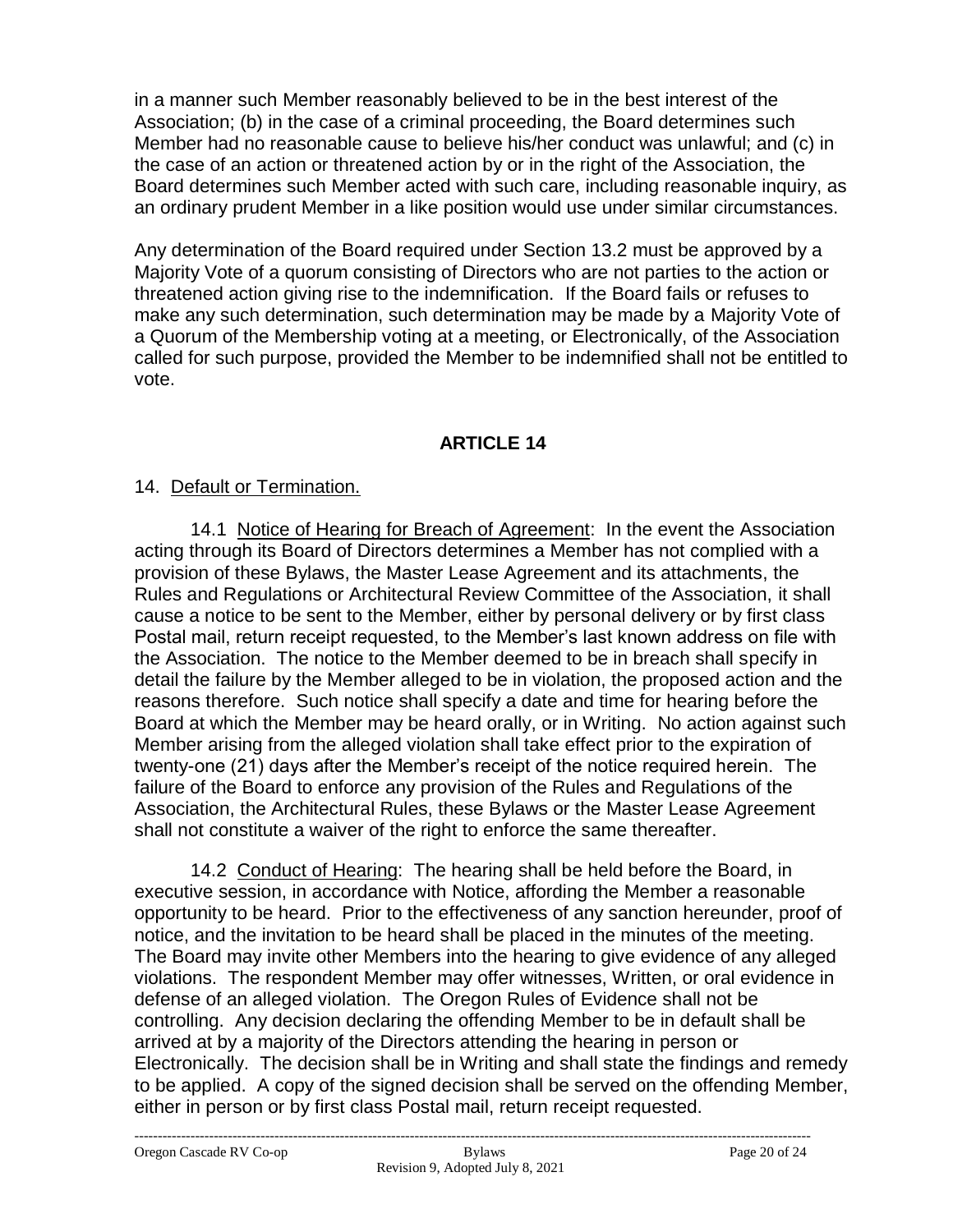in a manner such Member reasonably believed to be in the best interest of the Association; (b) in the case of a criminal proceeding, the Board determines such Member had no reasonable cause to believe his/her conduct was unlawful; and (c) in the case of an action or threatened action by or in the right of the Association, the Board determines such Member acted with such care, including reasonable inquiry, as an ordinary prudent Member in a like position would use under similar circumstances.

Any determination of the Board required under Section 13.2 must be approved by a Majority Vote of a quorum consisting of Directors who are not parties to the action or threatened action giving rise to the indemnification. If the Board fails or refuses to make any such determination, such determination may be made by a Majority Vote of a Quorum of the Membership voting at a meeting, or Electronically, of the Association called for such purpose, provided the Member to be indemnified shall not be entitled to vote.

## **ARTICLE 14**

### 14. Default or Termination.

14.1 Notice of Hearing for Breach of Agreement: In the event the Association acting through its Board of Directors determines a Member has not complied with a provision of these Bylaws, the Master Lease Agreement and its attachments, the Rules and Regulations or Architectural Review Committee of the Association, it shall cause a notice to be sent to the Member, either by personal delivery or by first class Postal mail, return receipt requested, to the Member's last known address on file with the Association. The notice to the Member deemed to be in breach shall specify in detail the failure by the Member alleged to be in violation, the proposed action and the reasons therefore. Such notice shall specify a date and time for hearing before the Board at which the Member may be heard orally, or in Writing. No action against such Member arising from the alleged violation shall take effect prior to the expiration of twenty-one (21) days after the Member's receipt of the notice required herein. The failure of the Board to enforce any provision of the Rules and Regulations of the Association, the Architectural Rules, these Bylaws or the Master Lease Agreement shall not constitute a waiver of the right to enforce the same thereafter.

14.2 Conduct of Hearing: The hearing shall be held before the Board, in executive session, in accordance with Notice, affording the Member a reasonable opportunity to be heard. Prior to the effectiveness of any sanction hereunder, proof of notice, and the invitation to be heard shall be placed in the minutes of the meeting. The Board may invite other Members into the hearing to give evidence of any alleged violations. The respondent Member may offer witnesses, Written, or oral evidence in defense of an alleged violation. The Oregon Rules of Evidence shall not be controlling. Any decision declaring the offending Member to be in default shall be arrived at by a majority of the Directors attending the hearing in person or Electronically. The decision shall be in Writing and shall state the findings and remedy to be applied. A copy of the signed decision shall be served on the offending Member, either in person or by first class Postal mail, return receipt requested.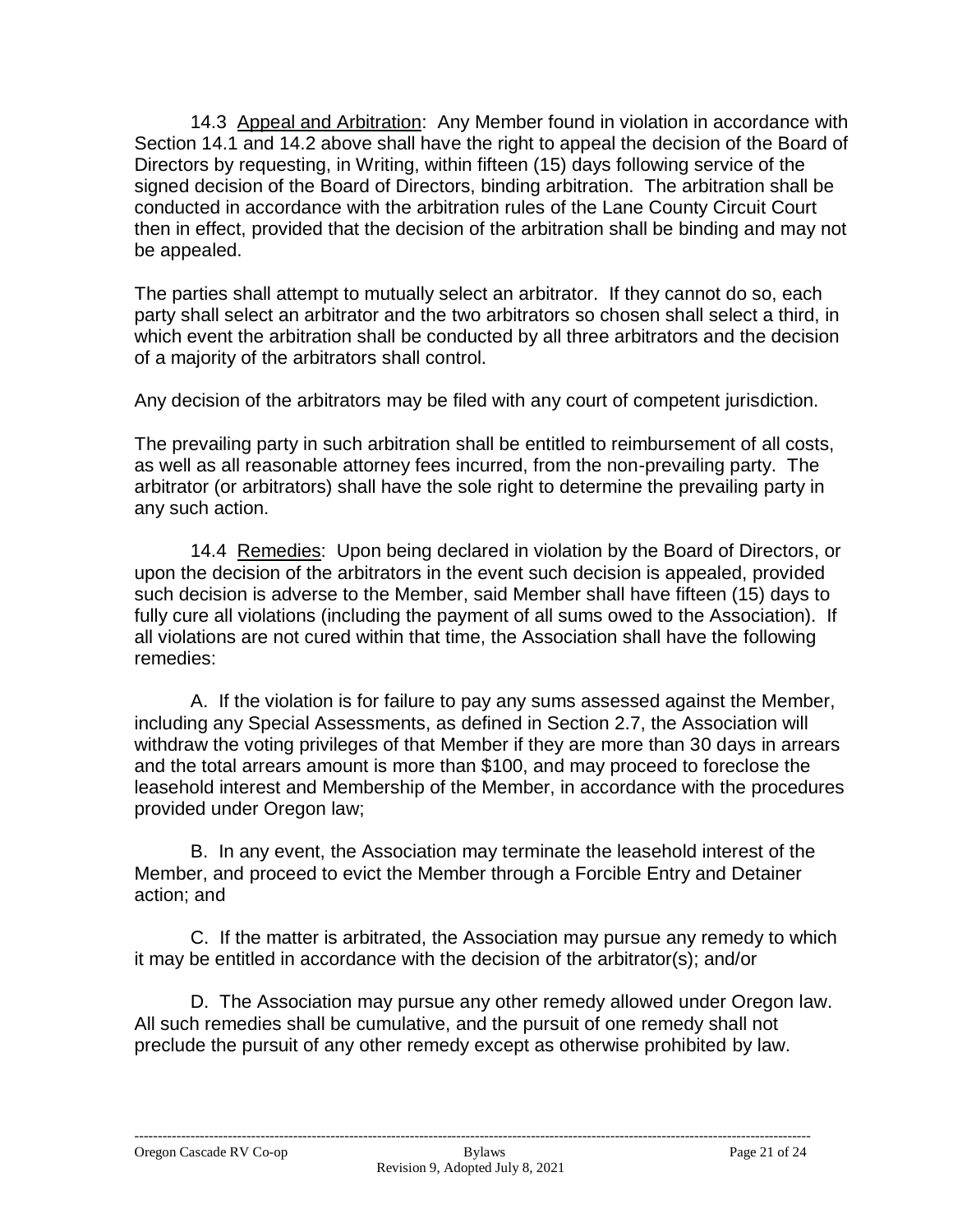14.3Appeal and Arbitration: Any Member found in violation in accordance with Section 14.1 and 14.2 above shall have the right to appeal the decision of the Board of Directors by requesting, in Writing, within fifteen (15) days following service of the signed decision of the Board of Directors, binding arbitration. The arbitration shall be conducted in accordance with the arbitration rules of the Lane County Circuit Court then in effect, provided that the decision of the arbitration shall be binding and may not be appealed.

The parties shall attempt to mutually select an arbitrator. If they cannot do so, each party shall select an arbitrator and the two arbitrators so chosen shall select a third, in which event the arbitration shall be conducted by all three arbitrators and the decision of a majority of the arbitrators shall control.

Any decision of the arbitrators may be filed with any court of competent jurisdiction.

The prevailing party in such arbitration shall be entitled to reimbursement of all costs, as well as all reasonable attorney fees incurred, from the non-prevailing party. The arbitrator (or arbitrators) shall have the sole right to determine the prevailing party in any such action.

14.4 Remedies: Upon being declared in violation by the Board of Directors, or upon the decision of the arbitrators in the event such decision is appealed, provided such decision is adverse to the Member, said Member shall have fifteen (15) days to fully cure all violations (including the payment of all sums owed to the Association). If all violations are not cured within that time, the Association shall have the following remedies:

A. If the violation is for failure to pay any sums assessed against the Member, including any Special Assessments, as defined in Section 2.7, the Association will withdraw the voting privileges of that Member if they are more than 30 days in arrears and the total arrears amount is more than \$100, and may proceed to foreclose the leasehold interest and Membership of the Member, in accordance with the procedures provided under Oregon law;

B. In any event, the Association may terminate the leasehold interest of the Member, and proceed to evict the Member through a Forcible Entry and Detainer action; and

C. If the matter is arbitrated, the Association may pursue any remedy to which it may be entitled in accordance with the decision of the arbitrator(s); and/or

D. The Association may pursue any other remedy allowed under Oregon law. All such remedies shall be cumulative, and the pursuit of one remedy shall not preclude the pursuit of any other remedy except as otherwise prohibited by law.

-------------------------------------------------------------------------------------------------------------------------------------------------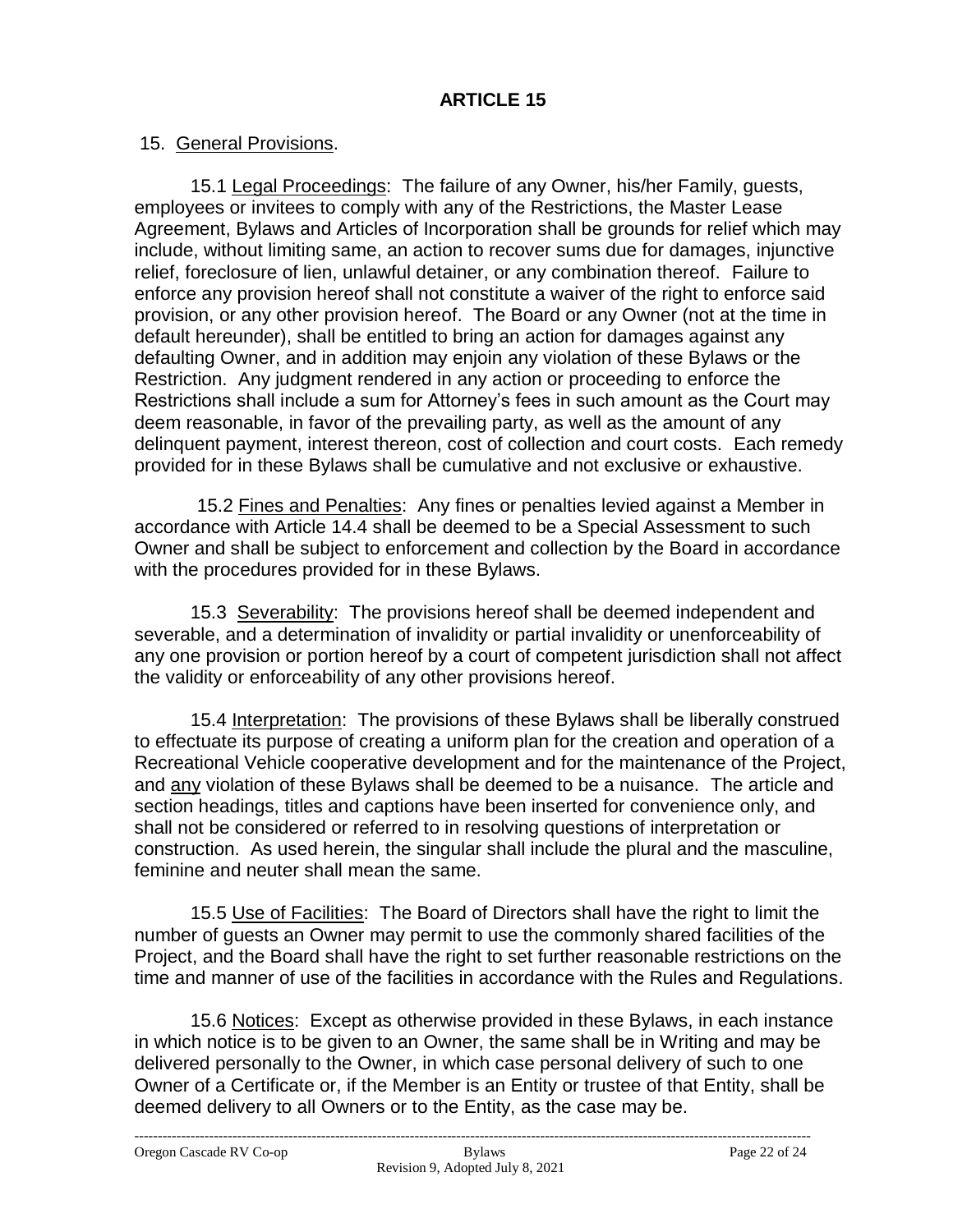### 15. General Provisions.

15.1 Legal Proceedings: The failure of any Owner, his/her Family, guests, employees or invitees to comply with any of the Restrictions, the Master Lease Agreement, Bylaws and Articles of Incorporation shall be grounds for relief which may include, without limiting same, an action to recover sums due for damages, injunctive relief, foreclosure of lien, unlawful detainer, or any combination thereof. Failure to enforce any provision hereof shall not constitute a waiver of the right to enforce said provision, or any other provision hereof. The Board or any Owner (not at the time in default hereunder), shall be entitled to bring an action for damages against any defaulting Owner, and in addition may enjoin any violation of these Bylaws or the Restriction. Any judgment rendered in any action or proceeding to enforce the Restrictions shall include a sum for Attorney's fees in such amount as the Court may deem reasonable, in favor of the prevailing party, as well as the amount of any delinquent payment, interest thereon, cost of collection and court costs. Each remedy provided for in these Bylaws shall be cumulative and not exclusive or exhaustive.

 15.2 Fines and Penalties: Any fines or penalties levied against a Member in accordance with Article 14.4 shall be deemed to be a Special Assessment to such Owner and shall be subject to enforcement and collection by the Board in accordance with the procedures provided for in these Bylaws.

15.3 Severability: The provisions hereof shall be deemed independent and severable, and a determination of invalidity or partial invalidity or unenforceability of any one provision or portion hereof by a court of competent jurisdiction shall not affect the validity or enforceability of any other provisions hereof.

15.4 Interpretation: The provisions of these Bylaws shall be liberally construed to effectuate its purpose of creating a uniform plan for the creation and operation of a Recreational Vehicle cooperative development and for the maintenance of the Project, and any violation of these Bylaws shall be deemed to be a nuisance. The article and section headings, titles and captions have been inserted for convenience only, and shall not be considered or referred to in resolving questions of interpretation or construction. As used herein, the singular shall include the plural and the masculine, feminine and neuter shall mean the same.

15.5 Use of Facilities: The Board of Directors shall have the right to limit the number of guests an Owner may permit to use the commonly shared facilities of the Project, and the Board shall have the right to set further reasonable restrictions on the time and manner of use of the facilities in accordance with the Rules and Regulations.

15.6 Notices: Except as otherwise provided in these Bylaws, in each instance in which notice is to be given to an Owner, the same shall be in Writing and may be delivered personally to the Owner, in which case personal delivery of such to one Owner of a Certificate or, if the Member is an Entity or trustee of that Entity, shall be deemed delivery to all Owners or to the Entity, as the case may be.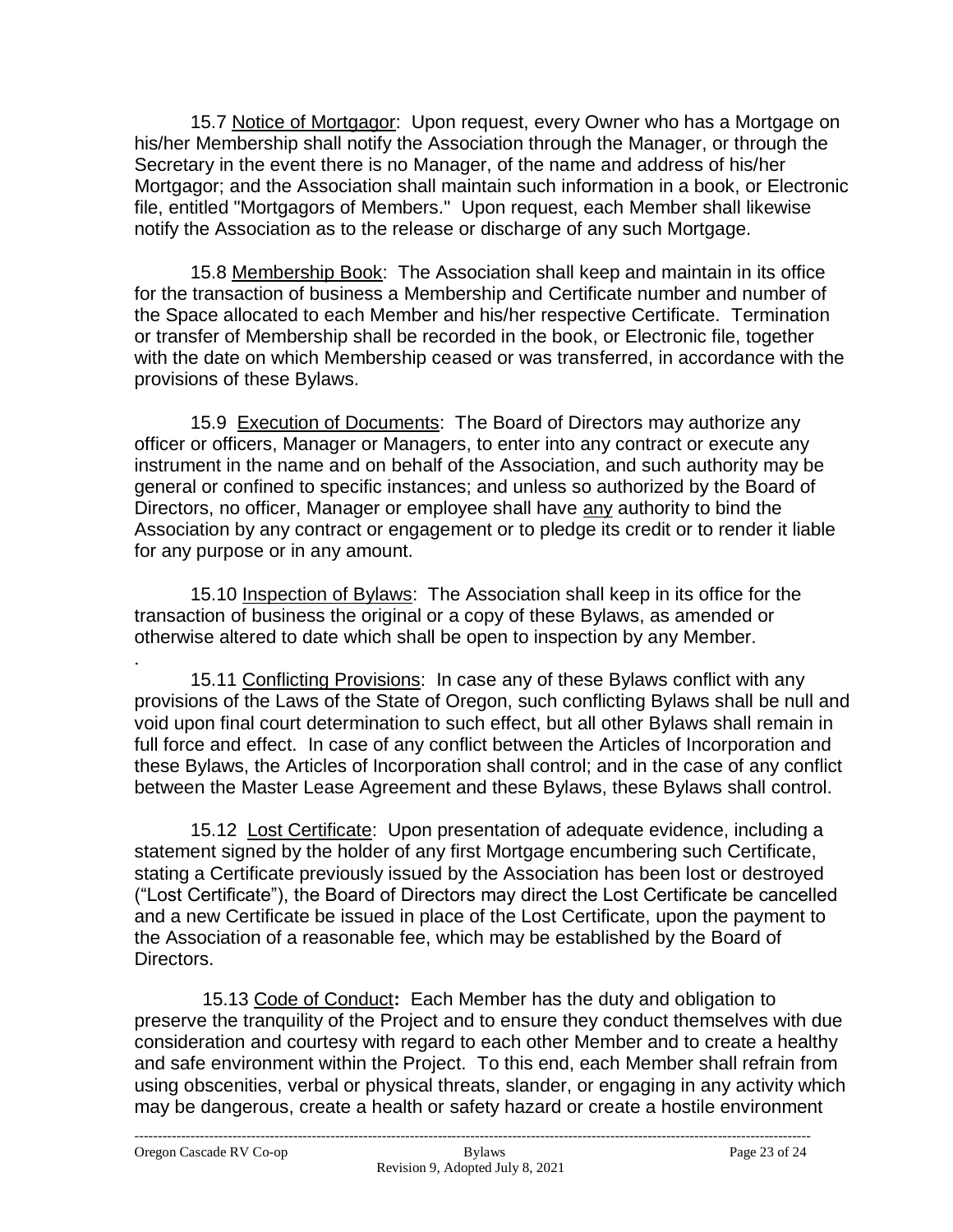15.7 Notice of Mortgagor: Upon request, every Owner who has a Mortgage on his/her Membership shall notify the Association through the Manager, or through the Secretary in the event there is no Manager, of the name and address of his/her Mortgagor; and the Association shall maintain such information in a book, or Electronic file, entitled "Mortgagors of Members." Upon request, each Member shall likewise notify the Association as to the release or discharge of any such Mortgage.

15.8 Membership Book: The Association shall keep and maintain in its office for the transaction of business a Membership and Certificate number and number of the Space allocated to each Member and his/her respective Certificate. Termination or transfer of Membership shall be recorded in the book, or Electronic file, together with the date on which Membership ceased or was transferred, in accordance with the provisions of these Bylaws.

15.9 Execution of Documents: The Board of Directors may authorize any officer or officers, Manager or Managers, to enter into any contract or execute any instrument in the name and on behalf of the Association, and such authority may be general or confined to specific instances; and unless so authorized by the Board of Directors, no officer, Manager or employee shall have any authority to bind the Association by any contract or engagement or to pledge its credit or to render it liable for any purpose or in any amount.

15.10 Inspection of Bylaws: The Association shall keep in its office for the transaction of business the original or a copy of these Bylaws, as amended or otherwise altered to date which shall be open to inspection by any Member.

. 15.11 Conflicting Provisions: In case any of these Bylaws conflict with any provisions of the Laws of the State of Oregon, such conflicting Bylaws shall be null and void upon final court determination to such effect, but all other Bylaws shall remain in full force and effect. In case of any conflict between the Articles of Incorporation and these Bylaws, the Articles of Incorporation shall control; and in the case of any conflict between the Master Lease Agreement and these Bylaws, these Bylaws shall control.

15.12 Lost Certificate: Upon presentation of adequate evidence, including a statement signed by the holder of any first Mortgage encumbering such Certificate, stating a Certificate previously issued by the Association has been lost or destroyed ("Lost Certificate"), the Board of Directors may direct the Lost Certificate be cancelled and a new Certificate be issued in place of the Lost Certificate, upon the payment to the Association of a reasonable fee, which may be established by the Board of Directors.

 15.13 Code of Conduct**:** Each Member has the duty and obligation to preserve the tranquility of the Project and to ensure they conduct themselves with due consideration and courtesy with regard to each other Member and to create a healthy and safe environment within the Project. To this end, each Member shall refrain from using obscenities, verbal or physical threats, slander, or engaging in any activity which may be dangerous, create a health or safety hazard or create a hostile environment